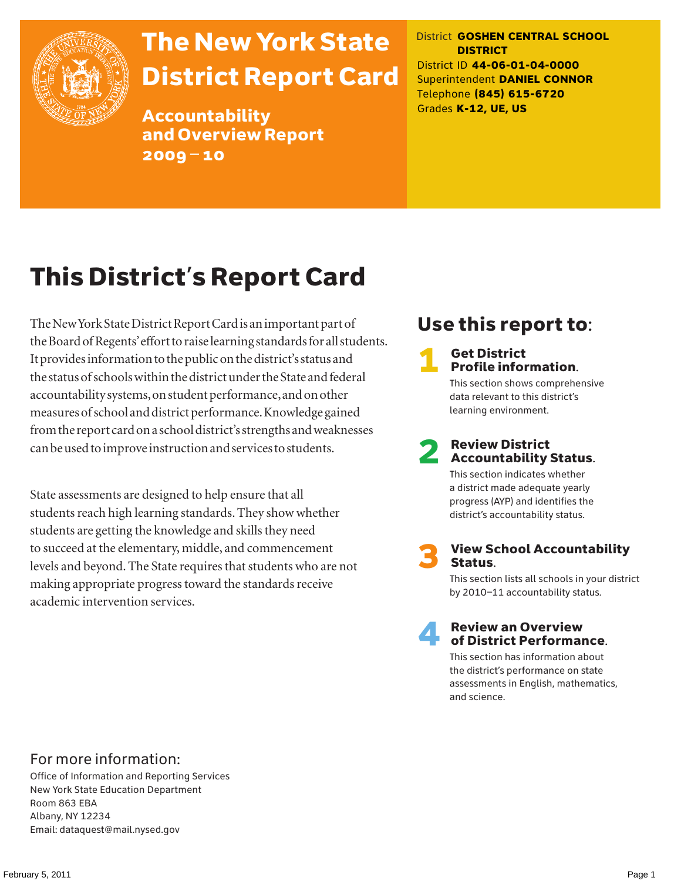

# The New York State District Report Card

Accountability and Overview Report 2009–10

District **GOSHEN CENTRAL SCHOOL DISTRICT** District ID **44-06-01-04-0000** Superintendent **DANIEL CONNOR** Telephone **(845) 615-6720** Grades **K-12, UE, US**

# This District's Report Card

The New York State District Report Card is an important part of the Board of Regents' effort to raise learning standards for all students. It provides information to the public on the district's status and the status of schools within the district under the State and federal accountability systems, on student performance, and on other measures of school and district performance. Knowledge gained from the report card on a school district's strengths and weaknesses can be used to improve instruction and services to students.

State assessments are designed to help ensure that all students reach high learning standards. They show whether students are getting the knowledge and skills they need to succeed at the elementary, middle, and commencement levels and beyond. The State requires that students who are not making appropriate progress toward the standards receive academic intervention services.

## Use this report to:

### **Get District** Profile information.

This section shows comprehensive data relevant to this district's learning environment.

# **2** Review District<br>Accountability Status.

This section indicates whether a district made adequate yearly progress (AYP) and identifies the district's accountability status.

**View School Accountability** Status.

This section lists all schools in your district by 2010–11 accountability status.



### **Review an Overview** of District Performance.

This section has information about the district's performance on state assessments in English, mathematics, and science.

### For more information:

Office of Information and Reporting Services New York State Education Department Room 863 EBA Albany, NY 12234 Email: dataquest@mail.nysed.gov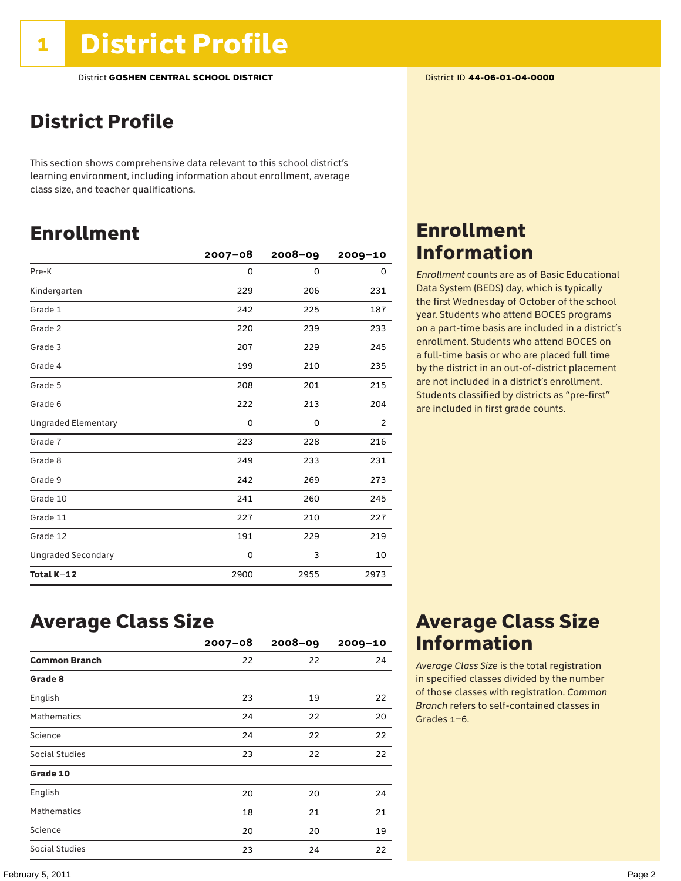## District Profile

This section shows comprehensive data relevant to this school district's learning environment, including information about enrollment, average class size, and teacher qualifications.

## Enrollment

|                            | $2007 - 08$ | 2008-09     | 2009-10 |
|----------------------------|-------------|-------------|---------|
| Pre-K                      | 0           | $\mathbf 0$ | 0       |
| Kindergarten               | 229         | 206         | 231     |
| Grade 1                    | 242         | 225         | 187     |
| Grade 2                    | 220         | 239         | 233     |
| Grade 3                    | 207         | 229         | 245     |
| Grade 4                    | 199         | 210         | 235     |
| Grade 5                    | 208         | 201         | 215     |
| Grade 6                    | 222         | 213         | 204     |
| <b>Ungraded Elementary</b> | 0           | 0           | 2       |
| Grade 7                    | 223         | 228         | 216     |
| Grade 8                    | 249         | 233         | 231     |
| Grade 9                    | 242         | 269         | 273     |
| Grade 10                   | 241         | 260         | 245     |
| Grade 11                   | 227         | 210         | 227     |
| Grade 12                   | 191         | 229         | 219     |
| <b>Ungraded Secondary</b>  | 0           | 3           | 10      |
| Total K-12                 | 2900        | 2955        | 2973    |

## Enrollment Information

*Enrollment* counts are as of Basic Educational Data System (BEDS) day, which is typically the first Wednesday of October of the school year. Students who attend BOCES programs on a part-time basis are included in a district's enrollment. Students who attend BOCES on a full-time basis or who are placed full time by the district in an out-of-district placement are not included in a district's enrollment. Students classified by districts as "pre-first" are included in first grade counts.

### Average Class Size

|                      | $2007 - 08$ | $2008 - 09$ | $2009 - 10$ |
|----------------------|-------------|-------------|-------------|
| <b>Common Branch</b> | 22          | 22          | 24          |
| Grade 8              |             |             |             |
| English              | 23          | 19          | 22          |
| <b>Mathematics</b>   | 24          | 22          | 20          |
| Science              | 24          | 22          | 22          |
| Social Studies       | 23          | 22          | 22          |
| Grade 10             |             |             |             |
| English              | 20          | 20          | 24          |
| <b>Mathematics</b>   | 18          | 21          | 21          |
| Science              | 20          | 20          | 19          |
| Social Studies       | 23          | 24          | 22          |

## Average Class Size Information

*Average Class Size* is the total registration in specified classes divided by the number of those classes with registration. *Common Branch* refers to self-contained classes in Grades 1–6.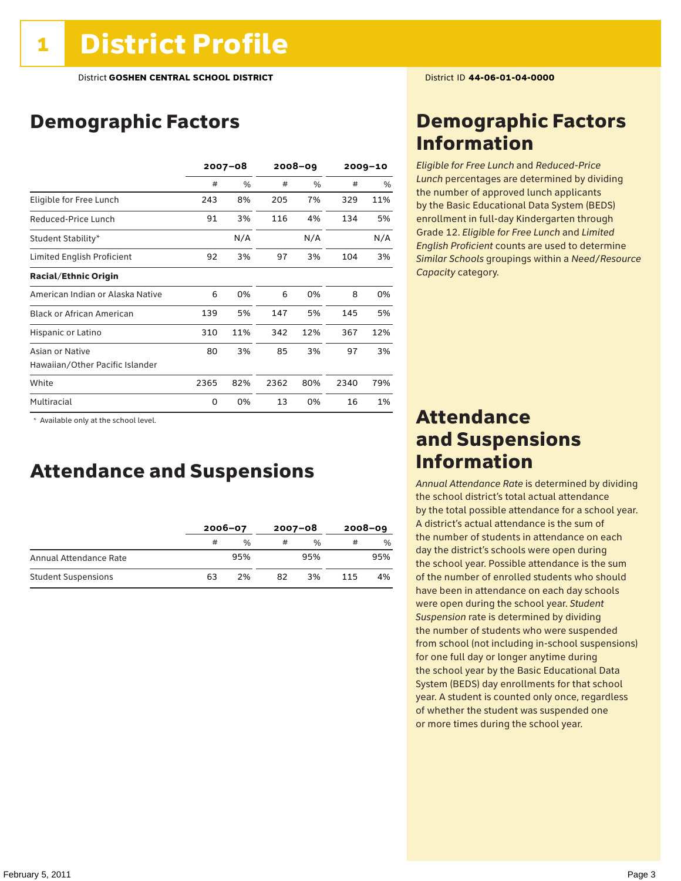## Demographic Factors

|                                  | $2007 - 08$ |               | $2008 - 09$ |     | $2009 - 10$ |     |
|----------------------------------|-------------|---------------|-------------|-----|-------------|-----|
|                                  | #           | $\frac{0}{0}$ | #           | %   | #           | %   |
| Eligible for Free Lunch          | 243         | 8%            | 205         | 7%  | 329         | 11% |
| Reduced-Price Lunch              | 91          | 3%            | 116         | 4%  | 134         | 5%  |
| Student Stability*               |             | N/A           |             | N/A |             | N/A |
| Limited English Proficient       | 92          | 3%            | 97          | 3%  | 104         | 3%  |
| <b>Racial/Ethnic Origin</b>      |             |               |             |     |             |     |
| American Indian or Alaska Native | 6           | 0%            | 6           | 0%  | 8           | 0%  |
| <b>Black or African American</b> | 139         | 5%            | 147         | 5%  | 145         | 5%  |
| Hispanic or Latino               | 310         | 11%           | 342         | 12% | 367         | 12% |
| Asian or Native                  | 80          | 3%            | 85          | 3%  | 97          | 3%  |
| Hawaiian/Other Pacific Islander  |             |               |             |     |             |     |
| White                            | 2365        | 82%           | 2362        | 80% | 2340        | 79% |
| Multiracial                      | 0           | 0%            | 13          | 0%  | 16          | 1%  |

 \* Available only at the school level.

### Attendance and Suspensions

|                            |    | $2006 - 07$   |    | $2007 - 08$   | $2008 - 09$ |               |
|----------------------------|----|---------------|----|---------------|-------------|---------------|
|                            | #  | $\frac{0}{6}$ | #  | $\frac{0}{0}$ | #           | $\frac{0}{0}$ |
| Annual Attendance Rate     |    | 95%           |    | 95%           |             | 95%           |
| <b>Student Suspensions</b> | 63 | 2%            | 82 | 3%            | 115         | 4%            |

## Demographic Factors Information

*Eligible for Free Lunch* and *Reduced*-*Price Lunch* percentages are determined by dividing the number of approved lunch applicants by the Basic Educational Data System (BEDS) enrollment in full-day Kindergarten through Grade 12. *Eligible for Free Lunch* and *Limited English Proficient* counts are used to determine *Similar Schools* groupings within a *Need*/*Resource Capacity* category.

### Attendance and Suspensions Information

*Annual Attendance Rate* is determined by dividing the school district's total actual attendance by the total possible attendance for a school year. A district's actual attendance is the sum of the number of students in attendance on each day the district's schools were open during the school year. Possible attendance is the sum of the number of enrolled students who should have been in attendance on each day schools were open during the school year. *Student Suspension* rate is determined by dividing the number of students who were suspended from school (not including in-school suspensions) for one full day or longer anytime during the school year by the Basic Educational Data System (BEDS) day enrollments for that school year. A student is counted only once, regardless of whether the student was suspended one or more times during the school year.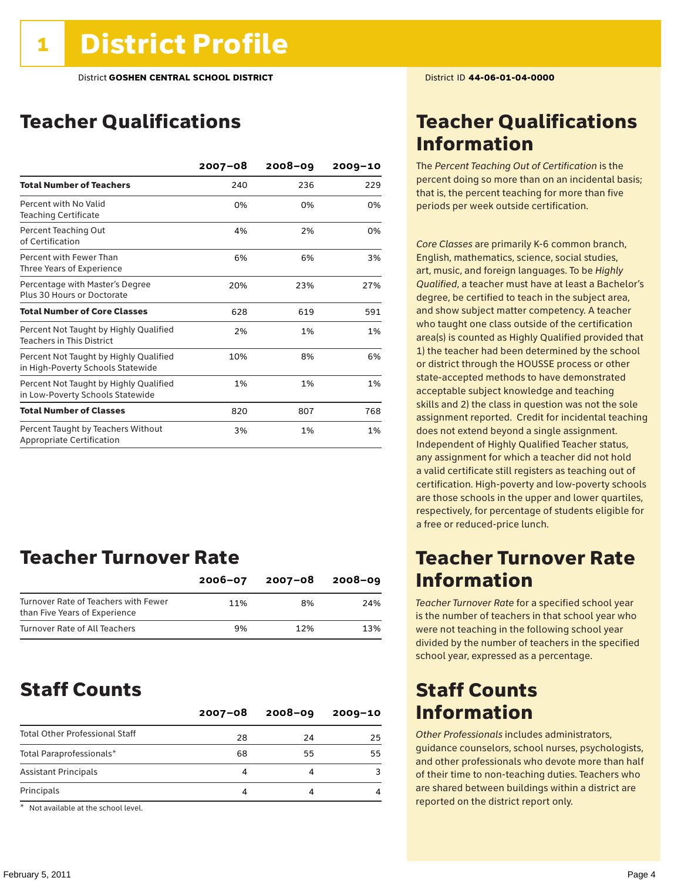## Teacher Qualifications

|                                                                             | $2007 - 08$ | $2008 - 09$ | $2009 - 10$ |
|-----------------------------------------------------------------------------|-------------|-------------|-------------|
| <b>Total Number of Teachers</b>                                             | 240         | 236         | 229         |
| Percent with No Valid<br><b>Teaching Certificate</b>                        | 0%          | 0%          | 0%          |
| Percent Teaching Out<br>of Certification                                    | 4%          | 2%          | 0%          |
| Percent with Fewer Than<br>Three Years of Experience                        | 6%          | 6%          | 3%          |
| Percentage with Master's Degree<br>Plus 30 Hours or Doctorate               | 20%         | 23%         | 27%         |
| <b>Total Number of Core Classes</b>                                         | 628         | 619         | 591         |
| Percent Not Taught by Highly Qualified<br><b>Teachers in This District</b>  | 2%          | 1%          | 1%          |
| Percent Not Taught by Highly Qualified<br>in High-Poverty Schools Statewide | 10%         | 8%          | 6%          |
| Percent Not Taught by Highly Qualified<br>in Low-Poverty Schools Statewide  | 1%          | 1%          | 1%          |
| <b>Total Number of Classes</b>                                              | 820         | 807         | 768         |
| Percent Taught by Teachers Without<br>Appropriate Certification             | 3%          | 1%          | 1%          |

## Teacher Turnover Rate

|                                                                       | $2006 - 07$ | 2007-08 | $2008 - 09$ |
|-----------------------------------------------------------------------|-------------|---------|-------------|
| Turnover Rate of Teachers with Fewer<br>than Five Years of Experience | 11%         | 8%      | 24%         |
| Turnover Rate of All Teachers                                         | 9%          | 12%     | 13%         |

### Staff Counts

|                                       | $2007 - 08$ | $2008 - 09$ | $2009 - 10$ |
|---------------------------------------|-------------|-------------|-------------|
| <b>Total Other Professional Staff</b> | 28          | 24          | 25          |
| Total Paraprofessionals*              | 68          | 55          | 55          |
| <b>Assistant Principals</b>           |             |             |             |
| Principals                            |             |             |             |

\* Not available at the school level.

## Teacher Qualifications Information

The *Percent Teaching Out of Certification* is the percent doing so more than on an incidental basis; that is, the percent teaching for more than five periods per week outside certification.

*Core Classes* are primarily K-6 common branch, English, mathematics, science, social studies, art, music, and foreign languages. To be *Highly Qualified*, a teacher must have at least a Bachelor's degree, be certified to teach in the subject area, and show subject matter competency. A teacher who taught one class outside of the certification area(s) is counted as Highly Qualified provided that 1) the teacher had been determined by the school or district through the HOUSSE process or other state-accepted methods to have demonstrated acceptable subject knowledge and teaching skills and 2) the class in question was not the sole assignment reported. Credit for incidental teaching does not extend beyond a single assignment. Independent of Highly Qualified Teacher status, any assignment for which a teacher did not hold a valid certificate still registers as teaching out of certification. High-poverty and low-poverty schools are those schools in the upper and lower quartiles, respectively, for percentage of students eligible for a free or reduced-price lunch.

### Teacher Turnover Rate Information

*Teacher Turnover Rate* for a specified school year is the number of teachers in that school year who were not teaching in the following school year divided by the number of teachers in the specified school year, expressed as a percentage.

## Staff Counts Information

*Other Professionals* includes administrators, guidance counselors, school nurses, psychologists, and other professionals who devote more than half of their time to non-teaching duties. Teachers who are shared between buildings within a district are reported on the district report only.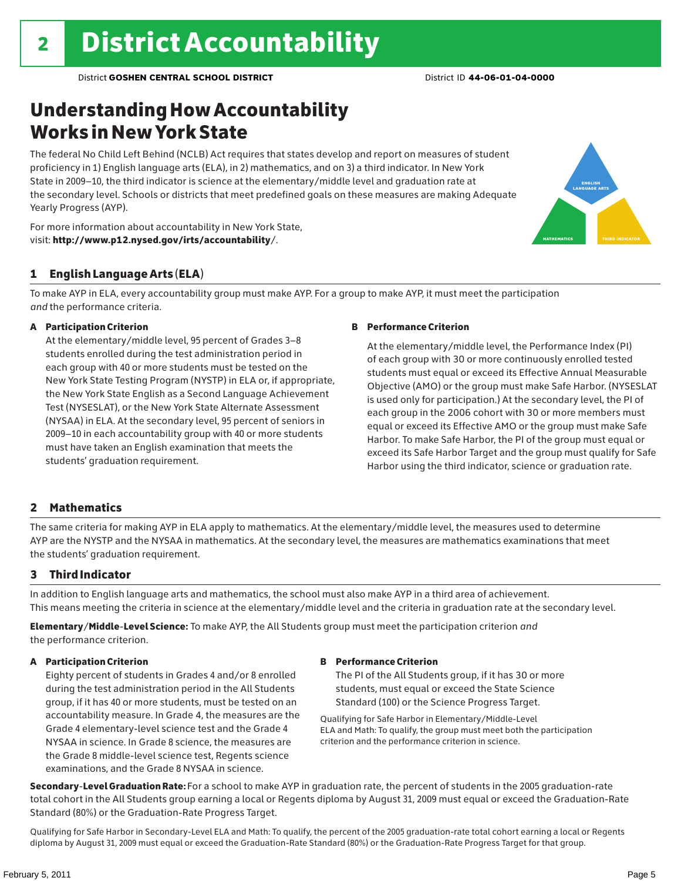## Understanding How Accountability Works in New York State

The federal No Child Left Behind (NCLB) Act requires that states develop and report on measures of student proficiency in 1) English language arts (ELA), in 2) mathematics, and on 3) a third indicator. In New York State in 2009–10, the third indicator is science at the elementary/middle level and graduation rate at the secondary level. Schools or districts that meet predefined goals on these measures are making Adequate Yearly Progress (AYP).





### 1 English Language Arts (ELA)

To make AYP in ELA, every accountability group must make AYP. For a group to make AYP, it must meet the participation *and* the performance criteria.

### A Participation Criterion

At the elementary/middle level, 95 percent of Grades 3–8 students enrolled during the test administration period in each group with 40 or more students must be tested on the New York State Testing Program (NYSTP) in ELA or, if appropriate, the New York State English as a Second Language Achievement Test (NYSESLAT), or the New York State Alternate Assessment (NYSAA) in ELA. At the secondary level, 95 percent of seniors in 2009–10 in each accountability group with 40 or more students must have taken an English examination that meets the students' graduation requirement.

### B Performance Criterion

At the elementary/middle level, the Performance Index (PI) of each group with 30 or more continuously enrolled tested students must equal or exceed its Effective Annual Measurable Objective (AMO) or the group must make Safe Harbor. (NYSESLAT is used only for participation.) At the secondary level, the PI of each group in the 2006 cohort with 30 or more members must equal or exceed its Effective AMO or the group must make Safe Harbor. To make Safe Harbor, the PI of the group must equal or exceed its Safe Harbor Target and the group must qualify for Safe Harbor using the third indicator, science or graduation rate.

### 2 Mathematics

The same criteria for making AYP in ELA apply to mathematics. At the elementary/middle level, the measures used to determine AYP are the NYSTP and the NYSAA in mathematics. At the secondary level, the measures are mathematics examinations that meet the students' graduation requirement.

### 3 Third Indicator

In addition to English language arts and mathematics, the school must also make AYP in a third area of achievement. This means meeting the criteria in science at the elementary/middle level and the criteria in graduation rate at the secondary level.

Elementary/Middle-Level Science: To make AYP, the All Students group must meet the participation criterion *and* the performance criterion.

### A Participation Criterion

Eighty percent of students in Grades 4 and/or 8 enrolled during the test administration period in the All Students group, if it has 40 or more students, must be tested on an accountability measure. In Grade 4, the measures are the Grade 4 elementary-level science test and the Grade 4 NYSAA in science. In Grade 8 science, the measures are the Grade 8 middle-level science test, Regents science examinations, and the Grade 8 NYSAA in science.

### B Performance Criterion

The PI of the All Students group, if it has 30 or more students, must equal or exceed the State Science Standard (100) or the Science Progress Target.

Qualifying for Safe Harbor in Elementary/Middle-Level ELA and Math: To qualify, the group must meet both the participation criterion and the performance criterion in science.

Secondary-Level Graduation Rate: For a school to make AYP in graduation rate, the percent of students in the 2005 graduation-rate total cohort in the All Students group earning a local or Regents diploma by August 31, 2009 must equal or exceed the Graduation-Rate Standard (80%) or the Graduation-Rate Progress Target.

Qualifying for Safe Harbor in Secondary-Level ELA and Math: To qualify, the percent of the 2005 graduation-rate total cohort earning a local or Regents diploma by August 31, 2009 must equal or exceed the Graduation-Rate Standard (80%) or the Graduation-Rate Progress Target for that group.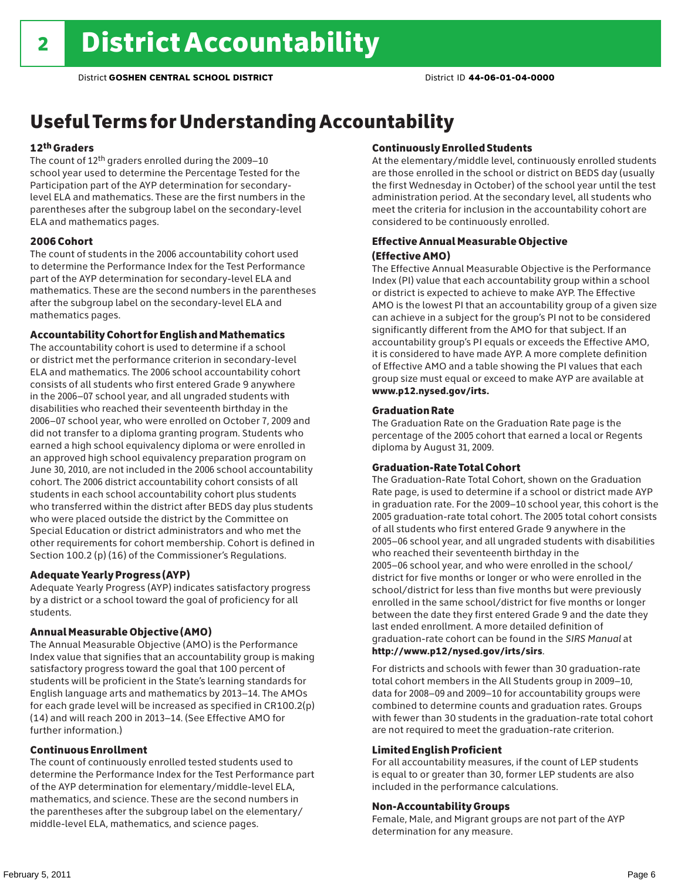## Useful Terms for Understanding Accountability

### 12th Graders

The count of 12th graders enrolled during the 2009–10 school year used to determine the Percentage Tested for the Participation part of the AYP determination for secondarylevel ELA and mathematics. These are the first numbers in the parentheses after the subgroup label on the secondary-level ELA and mathematics pages.

### 2006 Cohort

The count of students in the 2006 accountability cohort used to determine the Performance Index for the Test Performance part of the AYP determination for secondary-level ELA and mathematics. These are the second numbers in the parentheses after the subgroup label on the secondary-level ELA and mathematics pages.

### Accountability Cohort for English and Mathematics

The accountability cohort is used to determine if a school or district met the performance criterion in secondary-level ELA and mathematics. The 2006 school accountability cohort consists of all students who first entered Grade 9 anywhere in the 2006–07 school year, and all ungraded students with disabilities who reached their seventeenth birthday in the 2006–07 school year, who were enrolled on October 7, 2009 and did not transfer to a diploma granting program. Students who earned a high school equivalency diploma or were enrolled in an approved high school equivalency preparation program on June 30, 2010, are not included in the 2006 school accountability cohort. The 2006 district accountability cohort consists of all students in each school accountability cohort plus students who transferred within the district after BEDS day plus students who were placed outside the district by the Committee on Special Education or district administrators and who met the other requirements for cohort membership. Cohort is defined in Section 100.2 (p) (16) of the Commissioner's Regulations.

#### Adequate Yearly Progress (AYP)

Adequate Yearly Progress (AYP) indicates satisfactory progress by a district or a school toward the goal of proficiency for all students.

#### Annual Measurable Objective (AMO)

The Annual Measurable Objective (AMO) is the Performance Index value that signifies that an accountability group is making satisfactory progress toward the goal that 100 percent of students will be proficient in the State's learning standards for English language arts and mathematics by 2013–14. The AMOs for each grade level will be increased as specified in CR100.2(p) (14) and will reach 200 in 2013–14. (See Effective AMO for further information.)

### Continuous Enrollment

The count of continuously enrolled tested students used to determine the Performance Index for the Test Performance part of the AYP determination for elementary/middle-level ELA, mathematics, and science. These are the second numbers in the parentheses after the subgroup label on the elementary/ middle-level ELA, mathematics, and science pages.

### Continuously Enrolled Students

At the elementary/middle level, continuously enrolled students are those enrolled in the school or district on BEDS day (usually the first Wednesday in October) of the school year until the test administration period. At the secondary level, all students who meet the criteria for inclusion in the accountability cohort are considered to be continuously enrolled.

### Effective Annual Measurable Objective (Effective AMO)

The Effective Annual Measurable Objective is the Performance Index (PI) value that each accountability group within a school or district is expected to achieve to make AYP. The Effective AMO is the lowest PI that an accountability group of a given size can achieve in a subject for the group's PI not to be considered significantly different from the AMO for that subject. If an accountability group's PI equals or exceeds the Effective AMO, it is considered to have made AYP. A more complete definition of Effective AMO and a table showing the PI values that each group size must equal or exceed to make AYP are available at www.p12.nysed.gov/irts.

### Graduation Rate

The Graduation Rate on the Graduation Rate page is the percentage of the 2005 cohort that earned a local or Regents diploma by August 31, 2009.

#### Graduation-Rate Total Cohort

The Graduation-Rate Total Cohort, shown on the Graduation Rate page, is used to determine if a school or district made AYP in graduation rate. For the 2009–10 school year, this cohort is the 2005 graduation-rate total cohort. The 2005 total cohort consists of all students who first entered Grade 9 anywhere in the 2005–06 school year, and all ungraded students with disabilities who reached their seventeenth birthday in the 2005–06 school year, and who were enrolled in the school/ district for five months or longer or who were enrolled in the school/district for less than five months but were previously enrolled in the same school/district for five months or longer between the date they first entered Grade 9 and the date they last ended enrollment. A more detailed definition of graduation-rate cohort can be found in the *SIRS Manual* at

### http://www.p12/nysed.gov/irts/sirs.

For districts and schools with fewer than 30 graduation-rate total cohort members in the All Students group in 2009–10, data for 2008–09 and 2009–10 for accountability groups were combined to determine counts and graduation rates. Groups with fewer than 30 students in the graduation-rate total cohort are not required to meet the graduation-rate criterion.

#### Limited English Proficient

For all accountability measures, if the count of LEP students is equal to or greater than 30, former LEP students are also included in the performance calculations.

### Non-Accountability Groups

Female, Male, and Migrant groups are not part of the AYP determination for any measure.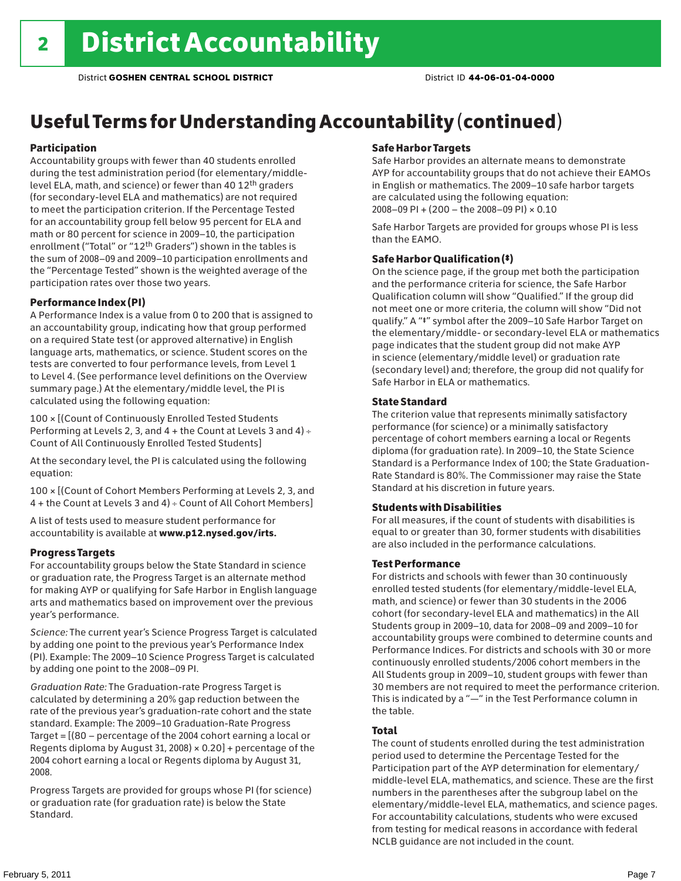## Useful Terms for Understanding Accountability (continued)

### Participation

Accountability groups with fewer than 40 students enrolled during the test administration period (for elementary/middlelevel ELA, math, and science) or fewer than 40 12th graders (for secondary-level ELA and mathematics) are not required to meet the participation criterion. If the Percentage Tested for an accountability group fell below 95 percent for ELA and math or 80 percent for science in 2009–10, the participation enrollment ("Total" or "12th Graders") shown in the tables is the sum of 2008–09 and 2009–10 participation enrollments and the "Percentage Tested" shown is the weighted average of the participation rates over those two years.

### Performance Index (PI)

A Performance Index is a value from 0 to 200 that is assigned to an accountability group, indicating how that group performed on a required State test (or approved alternative) in English language arts, mathematics, or science. Student scores on the tests are converted to four performance levels, from Level 1 to Level 4. (See performance level definitions on the Overview summary page.) At the elementary/middle level, the PI is calculated using the following equation:

100 × [(Count of Continuously Enrolled Tested Students Performing at Levels 2, 3, and 4 + the Count at Levels 3 and 4) Count of All Continuously Enrolled Tested Students]

At the secondary level, the PI is calculated using the following equation:

100 × [(Count of Cohort Members Performing at Levels 2, 3, and 4 + the Count at Levels 3 and 4) Count of All Cohort Members]

A list of tests used to measure student performance for accountability is available at www.p12.nysed.gov/irts.

### Progress Targets

For accountability groups below the State Standard in science or graduation rate, the Progress Target is an alternate method for making AYP or qualifying for Safe Harbor in English language arts and mathematics based on improvement over the previous year's performance.

*Science:* The current year's Science Progress Target is calculated by adding one point to the previous year's Performance Index (PI). Example: The 2009–10 Science Progress Target is calculated by adding one point to the 2008–09 PI.

*Graduation Rate:* The Graduation-rate Progress Target is calculated by determining a 20% gap reduction between the rate of the previous year's graduation-rate cohort and the state standard. Example: The 2009–10 Graduation-Rate Progress Target = [(80 – percentage of the 2004 cohort earning a local or Regents diploma by August 31, 2008)  $\times$  0.20] + percentage of the 2004 cohort earning a local or Regents diploma by August 31, 2008.

Progress Targets are provided for groups whose PI (for science) or graduation rate (for graduation rate) is below the State Standard.

### Safe Harbor Targets

Safe Harbor provides an alternate means to demonstrate AYP for accountability groups that do not achieve their EAMOs in English or mathematics. The 2009–10 safe harbor targets are calculated using the following equation: 2008–09 PI + (200 – the 2008–09 PI) × 0.10

Safe Harbor Targets are provided for groups whose PI is less than the EAMO.

### Safe Harbor Qualification (‡)

On the science page, if the group met both the participation and the performance criteria for science, the Safe Harbor Qualification column will show "Qualified." If the group did not meet one or more criteria, the column will show "Did not qualify." A "‡" symbol after the 2009–10 Safe Harbor Target on the elementary/middle- or secondary-level ELA or mathematics page indicates that the student group did not make AYP in science (elementary/middle level) or graduation rate (secondary level) and; therefore, the group did not qualify for Safe Harbor in ELA or mathematics.

### State Standard

The criterion value that represents minimally satisfactory performance (for science) or a minimally satisfactory percentage of cohort members earning a local or Regents diploma (for graduation rate). In 2009–10, the State Science Standard is a Performance Index of 100; the State Graduation-Rate Standard is 80%. The Commissioner may raise the State Standard at his discretion in future years.

### Students with Disabilities

For all measures, if the count of students with disabilities is equal to or greater than 30, former students with disabilities are also included in the performance calculations.

### Test Performance

For districts and schools with fewer than 30 continuously enrolled tested students (for elementary/middle-level ELA, math, and science) or fewer than 30 students in the 2006 cohort (for secondary-level ELA and mathematics) in the All Students group in 2009–10, data for 2008–09 and 2009–10 for accountability groups were combined to determine counts and Performance Indices. For districts and schools with 30 or more continuously enrolled students/2006 cohort members in the All Students group in 2009–10, student groups with fewer than 30 members are not required to meet the performance criterion. This is indicated by a "—" in the Test Performance column in the table.

### Total

The count of students enrolled during the test administration period used to determine the Percentage Tested for the Participation part of the AYP determination for elementary/ middle-level ELA, mathematics, and science. These are the first numbers in the parentheses after the subgroup label on the elementary/middle-level ELA, mathematics, and science pages. For accountability calculations, students who were excused from testing for medical reasons in accordance with federal NCLB guidance are not included in the count.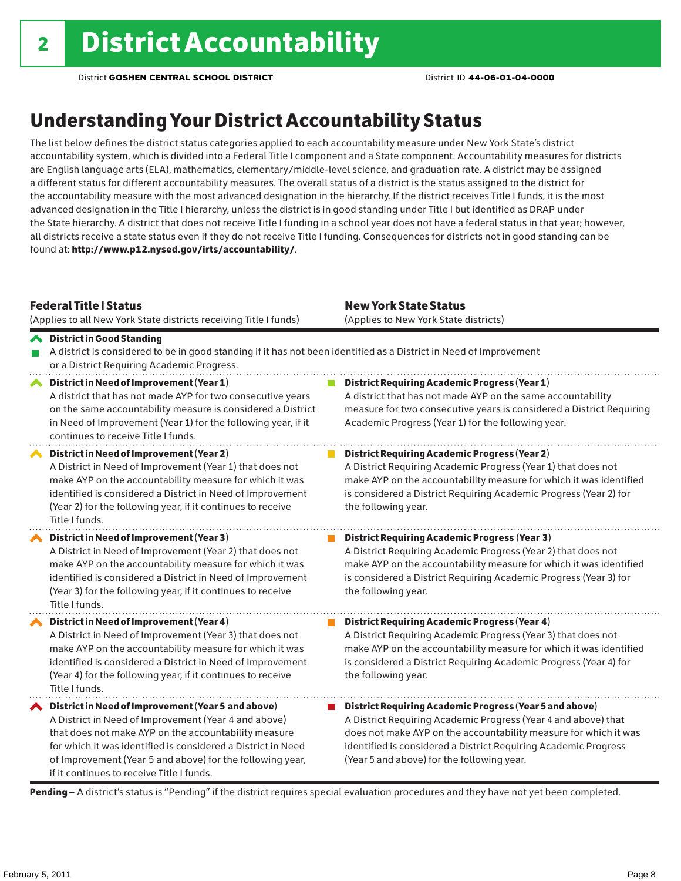## Understanding Your District Accountability Status

The list below defines the district status categories applied to each accountability measure under New York State's district accountability system, which is divided into a Federal Title I component and a State component. Accountability measures for districts are English language arts (ELA), mathematics, elementary/middle-level science, and graduation rate. A district may be assigned a different status for different accountability measures. The overall status of a district is the status assigned to the district for the accountability measure with the most advanced designation in the hierarchy. If the district receives Title I funds, it is the most advanced designation in the Title I hierarchy, unless the district is in good standing under Title I but identified as DRAP under the State hierarchy. A district that does not receive Title I funding in a school year does not have a federal status in that year; however, all districts receive a state status even if they do not receive Title I funding. Consequences for districts not in good standing can be found at: http://www.p12.nysed.gov/irts/accountability/.

|   | <b>Federal Title   Status</b><br>(Applies to all New York State districts receiving Title I funds)                                                                                                                                                                                                                                             | <b>New York State Status</b><br>(Applies to New York State districts)                                                                                                                                                                                                                                          |  |  |  |  |
|---|------------------------------------------------------------------------------------------------------------------------------------------------------------------------------------------------------------------------------------------------------------------------------------------------------------------------------------------------|----------------------------------------------------------------------------------------------------------------------------------------------------------------------------------------------------------------------------------------------------------------------------------------------------------------|--|--|--|--|
|   | A District in Good Standing<br>A district is considered to be in good standing if it has not been identified as a District in Need of Improvement<br>or a District Requiring Academic Progress.                                                                                                                                                |                                                                                                                                                                                                                                                                                                                |  |  |  |  |
| ∧ | District in Need of Improvement (Year 1)<br>A district that has not made AYP for two consecutive years<br>on the same accountability measure is considered a District<br>in Need of Improvement (Year 1) for the following year, if it<br>continues to receive Title I funds.                                                                  | <b>District Requiring Academic Progress (Year 1)</b><br>A district that has not made AYP on the same accountability<br>measure for two consecutive years is considered a District Requiring<br>Academic Progress (Year 1) for the following year.                                                              |  |  |  |  |
|   | District in Need of Improvement (Year 2)<br>A District in Need of Improvement (Year 1) that does not<br>make AYP on the accountability measure for which it was<br>identified is considered a District in Need of Improvement<br>(Year 2) for the following year, if it continues to receive<br>Title I funds.                                 | <b>District Requiring Academic Progress (Year 2)</b><br>A District Requiring Academic Progress (Year 1) that does not<br>make AYP on the accountability measure for which it was identified<br>is considered a District Requiring Academic Progress (Year 2) for<br>the following year.                        |  |  |  |  |
|   | District in Need of Improvement (Year 3)<br>A District in Need of Improvement (Year 2) that does not<br>make AYP on the accountability measure for which it was<br>identified is considered a District in Need of Improvement<br>(Year 3) for the following year, if it continues to receive<br>Title I funds.                                 | <b>District Requiring Academic Progress (Year 3)</b><br>A District Requiring Academic Progress (Year 2) that does not<br>make AYP on the accountability measure for which it was identified<br>is considered a District Requiring Academic Progress (Year 3) for<br>the following year.                        |  |  |  |  |
|   | District in Need of Improvement (Year 4)<br>A District in Need of Improvement (Year 3) that does not<br>make AYP on the accountability measure for which it was<br>identified is considered a District in Need of Improvement<br>(Year 4) for the following year, if it continues to receive<br>Title I funds.                                 | <b>District Requiring Academic Progress (Year 4)</b><br>A District Requiring Academic Progress (Year 3) that does not<br>make AYP on the accountability measure for which it was identified<br>is considered a District Requiring Academic Progress (Year 4) for<br>the following year.                        |  |  |  |  |
|   | ◆ District in Need of Improvement (Year 5 and above)<br>A District in Need of Improvement (Year 4 and above)<br>that does not make AYP on the accountability measure<br>for which it was identified is considered a District in Need<br>of Improvement (Year 5 and above) for the following year,<br>if it continues to receive Title I funds. | District Requiring Academic Progress (Year 5 and above)<br>A District Requiring Academic Progress (Year 4 and above) that<br>does not make AYP on the accountability measure for which it was<br>identified is considered a District Requiring Academic Progress<br>(Year 5 and above) for the following year. |  |  |  |  |

Pending - A district's status is "Pending" if the district requires special evaluation procedures and they have not yet been completed.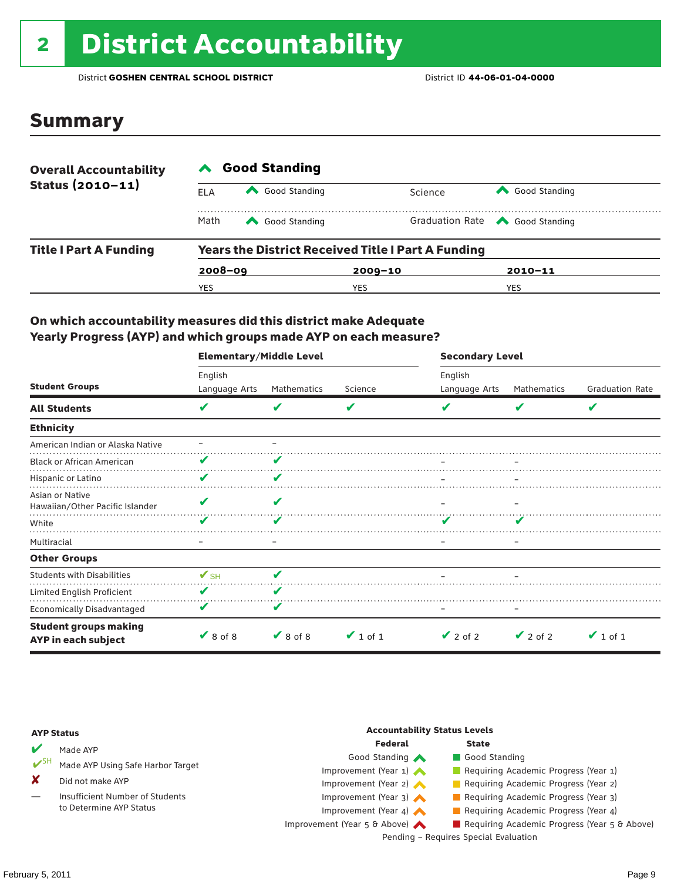# 2 District Accountability

District **GOSHEN CENTRAL SCHOOL DISTRICT** District ID **44-06-01-04-0000**

### Summary

| <b>Overall Accountability</b> | <b>Good Standing</b>                                      |               |             |                                       |  |  |
|-------------------------------|-----------------------------------------------------------|---------------|-------------|---------------------------------------|--|--|
| Status $(2010 - 11)$          | ELA                                                       | Good Standing | Science     | Good Standing                         |  |  |
|                               | Math                                                      | Good Standing |             | Graduation Rate <a> Good Standing</a> |  |  |
| <b>Title I Part A Funding</b> | <b>Years the District Received Title I Part A Funding</b> |               |             |                                       |  |  |
|                               | $2008 - 09$                                               |               | $2009 - 10$ | $2010 - 11$                           |  |  |
|                               | YES                                                       |               | YES         | YES                                   |  |  |

### On which accountability measures did this district make Adequate Yearly Progress (AYP) and which groups made AYP on each measure?

|                                                     | <b>Elementary/Middle Level</b> |               |               | <b>Secondary Level</b> |               |                        |  |
|-----------------------------------------------------|--------------------------------|---------------|---------------|------------------------|---------------|------------------------|--|
|                                                     | English                        |               |               | English                |               |                        |  |
| <b>Student Groups</b>                               | Language Arts                  | Mathematics   | Science       | Language Arts          | Mathematics   | <b>Graduation Rate</b> |  |
| <b>All Students</b>                                 | v                              | V             | V             |                        | V             | V                      |  |
| <b>Ethnicity</b>                                    |                                |               |               |                        |               |                        |  |
| American Indian or Alaska Native                    |                                |               |               |                        |               |                        |  |
| <b>Black or African American</b>                    |                                |               |               |                        |               |                        |  |
| Hispanic or Latino                                  | v                              | V             |               |                        |               |                        |  |
| Asian or Native<br>Hawaiian/Other Pacific Islander  |                                |               |               |                        |               |                        |  |
| White                                               |                                |               |               |                        |               |                        |  |
| Multiracial                                         |                                |               |               |                        |               |                        |  |
| <b>Other Groups</b>                                 |                                |               |               |                        |               |                        |  |
| <b>Students with Disabilities</b>                   | $\mathbf{V}_{\text{SH}}$       | V             |               |                        |               |                        |  |
| Limited English Proficient                          | V                              | V             |               |                        |               |                        |  |
| Economically Disadvantaged                          |                                | V             |               |                        |               |                        |  |
| <b>Student groups making</b><br>AYP in each subject | $\vee$ 8 of 8                  | $\vee$ 8 of 8 | $\vee$ 1 of 1 | $\vee$ 2 of 2          | $\vee$ 2 of 2 | $\vee$ 1 of 1          |  |

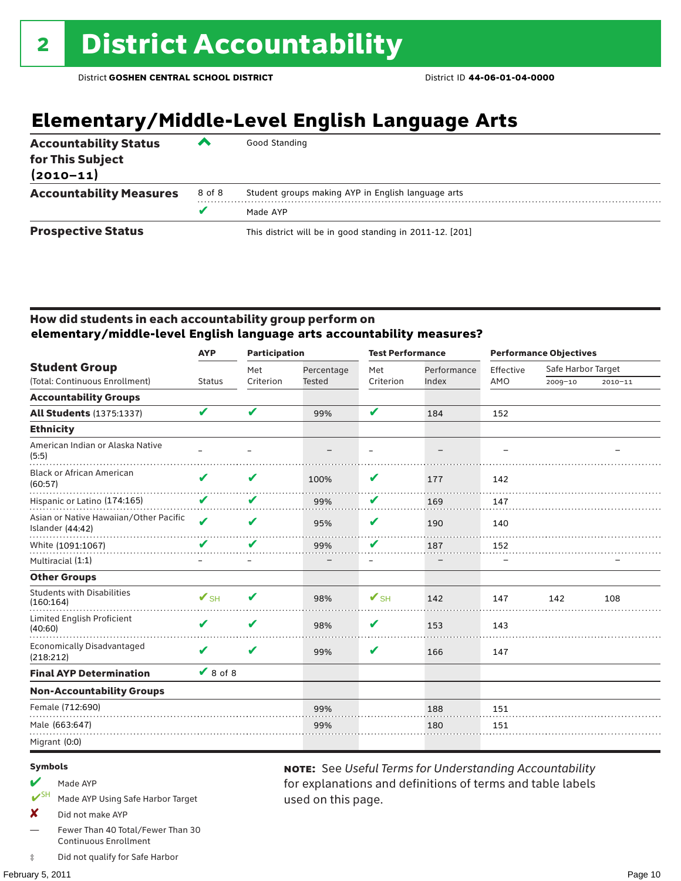## **Elementary/Middle-Level English Language Arts**

| <b>Accountability Status</b><br>for This Subject<br>$(2010 - 11)$ | ▰      | Good Standing                                            |
|-------------------------------------------------------------------|--------|----------------------------------------------------------|
| <b>Accountability Measures</b>                                    | 8 of 8 | Student groups making AYP in English language arts       |
|                                                                   |        | Made AYP                                                 |
| <b>Prospective Status</b>                                         |        | This district will be in good standing in 2011-12. [201] |

### How did students in each accountability group perform on **elementary/middle-level English language arts accountability measures?**

|                                                            |                            |           | <b>Participation</b> |           | <b>Test Performance</b> |           | <b>Performance Objectives</b> |             |
|------------------------------------------------------------|----------------------------|-----------|----------------------|-----------|-------------------------|-----------|-------------------------------|-------------|
| <b>Student Group</b>                                       |                            | Met       | Percentage           | Met       | Performance             | Effective | Safe Harbor Target            |             |
| (Total: Continuous Enrollment)                             | <b>Status</b>              | Criterion | <b>Tested</b>        | Criterion | Index                   | AMO       | 2009-10                       | $2010 - 11$ |
| <b>Accountability Groups</b>                               |                            |           |                      |           |                         |           |                               |             |
| <b>All Students (1375:1337)</b>                            | V                          | V         | 99%                  | V         | 184                     | 152       |                               |             |
| <b>Ethnicity</b>                                           |                            |           |                      |           |                         |           |                               |             |
| American Indian or Alaska Native<br>(5:5)                  |                            |           |                      |           |                         |           |                               |             |
| <b>Black or African American</b><br>(60:57)                | V                          | V         | 100%                 | V         | 177                     | 142       |                               |             |
| Hispanic or Latino (174:165)                               | V                          | V         | 99%                  | V         | 169                     | 147       |                               |             |
| Asian or Native Hawaiian/Other Pacific<br>Islander (44:42) | $\boldsymbol{\mathcal{U}}$ | V         | 95%                  | V         | 190                     | 140       |                               |             |
| White (1091:1067)                                          | V                          | V         | 99%                  | V         | 187                     | 152       |                               |             |
| Multiracial (1:1)                                          |                            |           |                      |           |                         |           |                               |             |
| <b>Other Groups</b>                                        |                            |           |                      |           |                         |           |                               |             |
| <b>Students with Disabilities</b><br>(160:164)             | $\mathbf{V}_{\text{SH}}$   | V         | 98%                  | $V$ SH    | 142                     | 147       | 142                           | 108         |
| Limited English Proficient<br>(40:60)                      | V                          | V         | 98%                  | V         | 153                     | 143       |                               |             |
| <b>Economically Disadvantaged</b><br>(218:212)             | V                          | V         | 99%                  | V         | 166                     | 147       |                               |             |
| <b>Final AYP Determination</b>                             | $\vee$ 8 of 8              |           |                      |           |                         |           |                               |             |
| <b>Non-Accountability Groups</b>                           |                            |           |                      |           |                         |           |                               |             |
| Female (712:690)                                           |                            |           | 99%                  |           | 188                     | 151       |                               |             |
| Male (663:647)                                             |                            |           | 99%                  |           | 180                     | 151       |                               |             |
| Migrant (0:0)                                              |                            |           |                      |           |                         |           |                               |             |

used on this page.

note: See *Useful Terms for Understanding Accountability*  for explanations and definitions of terms and table labels

#### Symbols

- Made AYP
- Made AYP Using Safe Harbor Target
- X Did not make AYP
- Fewer Than 40 Total/Fewer Than 30 Continuous Enrollment
- ‡ Did not qualify for Safe Harbor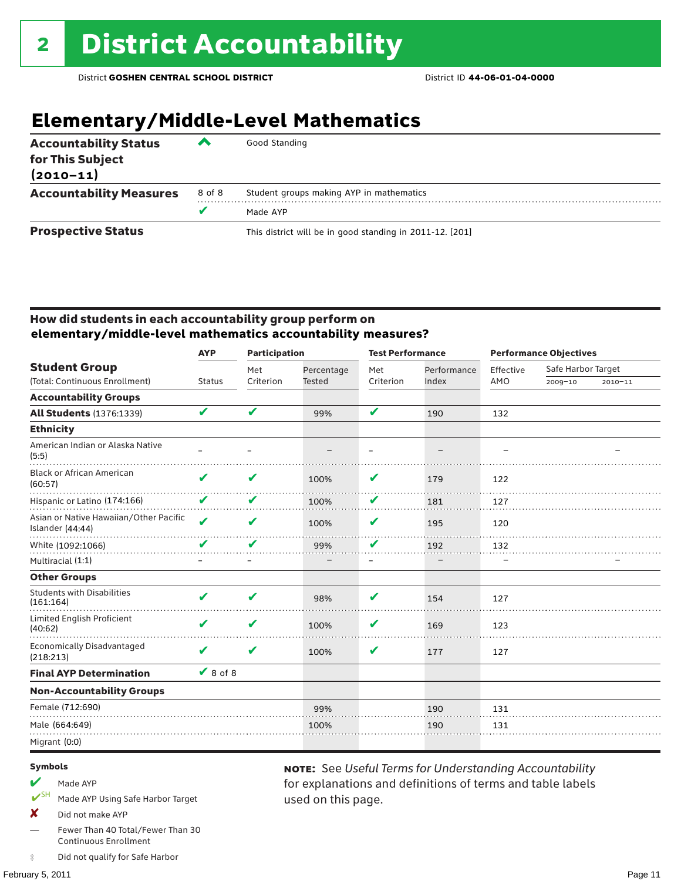## **Elementary/Middle-Level Mathematics**

| <b>Accountability Status</b><br>for This Subject<br>$(2010 - 11)$ | ▰      | Good Standing                                            |
|-------------------------------------------------------------------|--------|----------------------------------------------------------|
| <b>Accountability Measures</b>                                    | 8 of 8 | Student groups making AYP in mathematics                 |
|                                                                   | v      | Made AYP                                                 |
| <b>Prospective Status</b>                                         |        | This district will be in good standing in 2011-12. [201] |

### How did students in each accountability group perform on **elementary/middle-level mathematics accountability measures?**

| <b>AYP</b>                 | <b>Participation</b> |               | <b>Test Performance</b> |             | <b>Performance Objectives</b> |                    |             |
|----------------------------|----------------------|---------------|-------------------------|-------------|-------------------------------|--------------------|-------------|
|                            | Met                  | Percentage    | Met                     | Performance | Effective                     | Safe Harbor Target |             |
| <b>Status</b>              | Criterion            | <b>Tested</b> | Criterion               | Index       | AMO                           | 2009-10            | $2010 - 11$ |
|                            |                      |               |                         |             |                               |                    |             |
| V                          | V                    | 99%           | V                       | 190         | 132                           |                    |             |
|                            |                      |               |                         |             |                               |                    |             |
|                            |                      |               |                         |             |                               |                    |             |
| V                          | V                    | 100%          | V                       | 179         | 122                           |                    |             |
| V                          | V                    | 100%          | V                       | 181         | 127                           |                    |             |
| $\boldsymbol{\mathcal{U}}$ | V                    | 100%          | V                       | 195         | 120                           |                    |             |
| V                          | V                    | 99%           | V                       | 192         | 132                           |                    |             |
|                            |                      |               |                         |             |                               |                    |             |
|                            |                      |               |                         |             |                               |                    |             |
| V                          | V                    | 98%           | V                       | 154         | 127                           |                    |             |
| V                          | V                    | 100%          | V                       | 169         | 123                           |                    |             |
| V                          | V                    | 100%          | V                       | 177         | 127                           |                    |             |
|                            |                      |               |                         |             |                               |                    |             |
|                            |                      |               |                         |             |                               |                    |             |
|                            |                      | 99%           |                         | 190         | 131                           |                    |             |
|                            |                      | 100%          |                         | 190         | 131                           |                    |             |
|                            |                      |               |                         |             |                               |                    |             |
|                            |                      | $\vee$ 8 of 8 |                         |             |                               |                    |             |

used on this page.

note: See *Useful Terms for Understanding Accountability*  for explanations and definitions of terms and table labels

#### Symbols

- Made AYP
- SH Made AYP Using Safe Harbor Target
- X Did not make AYP
- Fewer Than 40 Total/Fewer Than 30 Continuous Enrollment
- ‡ Did not qualify for Safe Harbor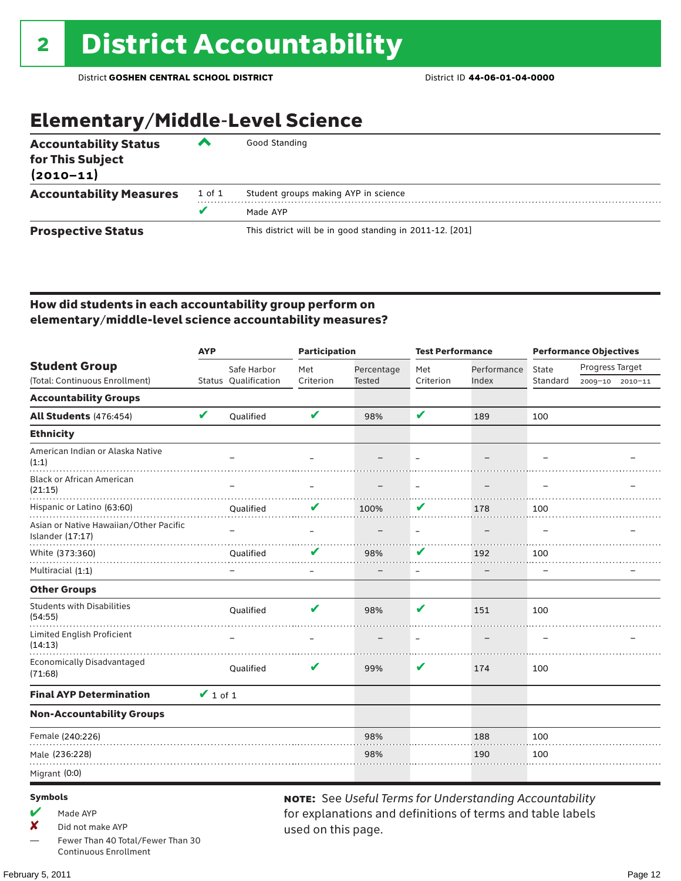## Elementary/Middle-Level Science

| <b>Accountability Status</b><br>for This Subject<br>$(2010 - 11)$ | ▰      | Good Standing                                            |
|-------------------------------------------------------------------|--------|----------------------------------------------------------|
| <b>Accountability Measures</b>                                    | 1 of 1 | Student groups making AYP in science                     |
|                                                                   | v      | Made AYP                                                 |
| <b>Prospective Status</b>                                         |        | This district will be in good standing in 2011-12. [201] |

### How did students in each accountability group perform on elementary/middle-level science accountability measures?

|                                                            | <b>AYP</b>    |                      | <b>Participation</b> |               | <b>Test Performance</b>  |             | <b>Performance Objectives</b> |                 |  |
|------------------------------------------------------------|---------------|----------------------|----------------------|---------------|--------------------------|-------------|-------------------------------|-----------------|--|
| <b>Student Group</b>                                       |               | Safe Harbor          | Met                  | Percentage    | Met                      | Performance | State                         | Progress Target |  |
| (Total: Continuous Enrollment)                             |               | Status Oualification | Criterion            | <b>Tested</b> | Criterion                | Index       | Standard                      | 2009-10 2010-11 |  |
| <b>Accountability Groups</b>                               |               |                      |                      |               |                          |             |                               |                 |  |
| All Students (476:454)                                     | $\mathbf v$   | Qualified            | V                    | 98%           | V                        | 189         | 100                           |                 |  |
| <b>Ethnicity</b>                                           |               |                      |                      |               |                          |             |                               |                 |  |
| American Indian or Alaska Native<br>(1:1)                  |               |                      |                      |               |                          |             |                               |                 |  |
| <b>Black or African American</b><br>(21:15)                |               |                      |                      |               |                          |             |                               |                 |  |
| Hispanic or Latino (63:60)                                 |               | Qualified            |                      | 100%          | V                        | 178         | 100                           |                 |  |
| Asian or Native Hawaiian/Other Pacific<br>Islander (17:17) |               |                      |                      |               | $\overline{\phantom{m}}$ |             |                               |                 |  |
| White (373:360)                                            |               | Qualified            |                      | 98%           | V                        | 192         | 100                           |                 |  |
| Multiracial (1:1)                                          |               |                      |                      |               | $\overline{\phantom{m}}$ |             |                               |                 |  |
| <b>Other Groups</b>                                        |               |                      |                      |               |                          |             |                               |                 |  |
| <b>Students with Disabilities</b><br>(54:55)               |               | Qualified            | V                    | 98%           | V                        | 151         | 100                           |                 |  |
| <b>Limited English Proficient</b><br>(14:13)               |               |                      |                      |               |                          |             |                               |                 |  |
| <b>Economically Disadvantaged</b><br>(71:68)               |               | Qualified            | V                    | 99%           | V                        | 174         | 100                           |                 |  |
| <b>Final AYP Determination</b>                             | $\vee$ 1 of 1 |                      |                      |               |                          |             |                               |                 |  |
| <b>Non-Accountability Groups</b>                           |               |                      |                      |               |                          |             |                               |                 |  |
| Female (240:226)                                           |               |                      |                      | 98%           |                          | 188         | 100                           |                 |  |
| Male (236:228)                                             |               |                      |                      | 98%           |                          | 190         | 100                           |                 |  |
| Migrant (0:0)                                              |               |                      |                      |               |                          |             |                               |                 |  |
|                                                            |               |                      |                      |               |                          |             |                               |                 |  |

#### Symbols

- $M$  Made AYP
- ✘ Did not make AYP
- Fewer Than 40 Total/Fewer Than 30 Continuous Enrollment

note: See *Useful Terms for Understanding Accountability*  for explanations and definitions of terms and table labels used on this page.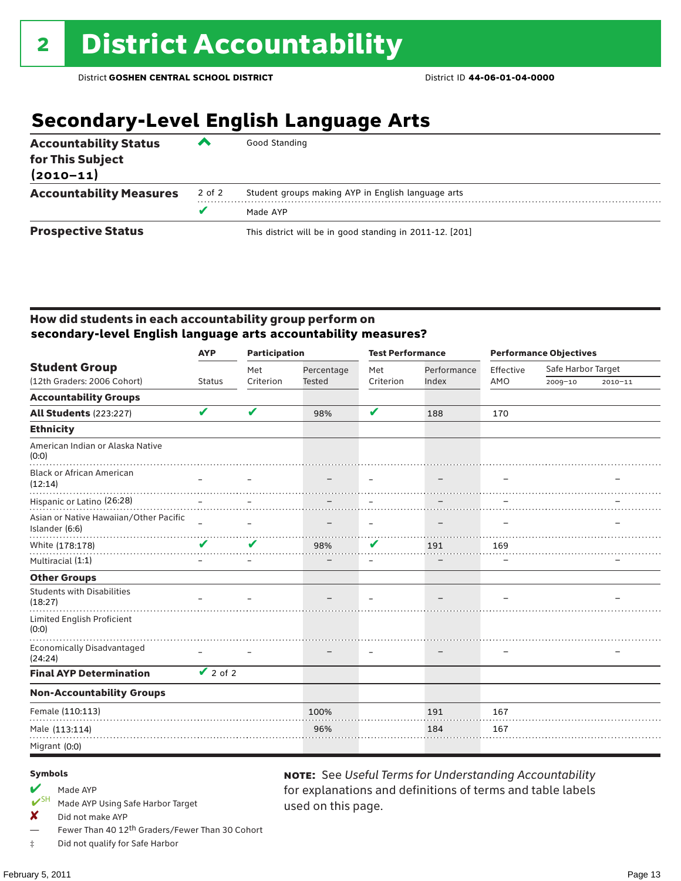## **Secondary-Level English Language Arts**

| <b>Accountability Status</b><br>for This Subject<br>$(2010 - 11)$ | ▰      | Good Standing                                            |
|-------------------------------------------------------------------|--------|----------------------------------------------------------|
| <b>Accountability Measures</b>                                    | 2 of 2 | Student groups making AYP in English language arts       |
|                                                                   |        | Made AYP                                                 |
| <b>Prospective Status</b>                                         |        | This district will be in good standing in 2011-12. [201] |

### How did students in each accountability group perform on **secondary-level English language arts accountability measures?**

|                                                          | <b>AYP</b>      | <b>Participation</b> |               | <b>Test Performance</b>  |             | <b>Performance Objectives</b> |                    |             |
|----------------------------------------------------------|-----------------|----------------------|---------------|--------------------------|-------------|-------------------------------|--------------------|-------------|
| <b>Student Group</b>                                     |                 | Met                  | Percentage    | Met                      | Performance | Effective                     | Safe Harbor Target |             |
| (12th Graders: 2006 Cohort)                              | <b>Status</b>   | Criterion            | <b>Tested</b> | Criterion                | Index       | AMO                           | 2009-10            | $2010 - 11$ |
| <b>Accountability Groups</b>                             |                 |                      |               |                          |             |                               |                    |             |
| <b>All Students (223:227)</b>                            | V               | V                    | 98%           | V                        | 188         | 170                           |                    |             |
| <b>Ethnicity</b>                                         |                 |                      |               |                          |             |                               |                    |             |
| American Indian or Alaska Native<br>(0:0)                |                 |                      |               |                          |             |                               |                    |             |
| <b>Black or African American</b><br>(12:14)              |                 |                      |               |                          |             |                               |                    |             |
| Hispanic or Latino (26:28)                               |                 |                      |               |                          |             |                               |                    |             |
| Asian or Native Hawaiian/Other Pacific<br>Islander (6:6) | $\equiv$        |                      |               | $\overline{\phantom{m}}$ |             |                               |                    |             |
| White (178:178)                                          | ✔               | ✔                    | 98%           | V                        | 191         | 169                           |                    |             |
| Multiracial (1:1)                                        |                 |                      |               |                          |             |                               |                    |             |
| <b>Other Groups</b>                                      |                 |                      |               |                          |             |                               |                    |             |
| <b>Students with Disabilities</b><br>(18:27)             |                 |                      |               |                          |             |                               |                    |             |
| Limited English Proficient<br>(0:0)                      |                 |                      |               |                          |             |                               |                    |             |
| <b>Economically Disadvantaged</b><br>(24:24)             |                 |                      |               |                          |             |                               |                    |             |
| <b>Final AYP Determination</b>                           | $\sqrt{2}$ of 2 |                      |               |                          |             |                               |                    |             |
| <b>Non-Accountability Groups</b>                         |                 |                      |               |                          |             |                               |                    |             |
| Female (110:113)                                         |                 |                      | 100%          |                          | 191         | 167                           |                    |             |
| Male (113:114)                                           |                 |                      | 96%           |                          | 184         | 167                           |                    |             |
| Migrant (0:0)                                            |                 |                      |               |                          |             |                               |                    |             |

used on this page.

note: See *Useful Terms for Understanding Accountability*  for explanations and definitions of terms and table labels

#### Symbols

## Made AYP<br> **V**SH Made AVP

- Made AYP Using Safe Harbor Target
- $\boldsymbol{X}$  Did not make AYP
- Fewer Than 40 12<sup>th</sup> Graders/Fewer Than 30 Cohort
- ‡ Did not qualify for Safe Harbor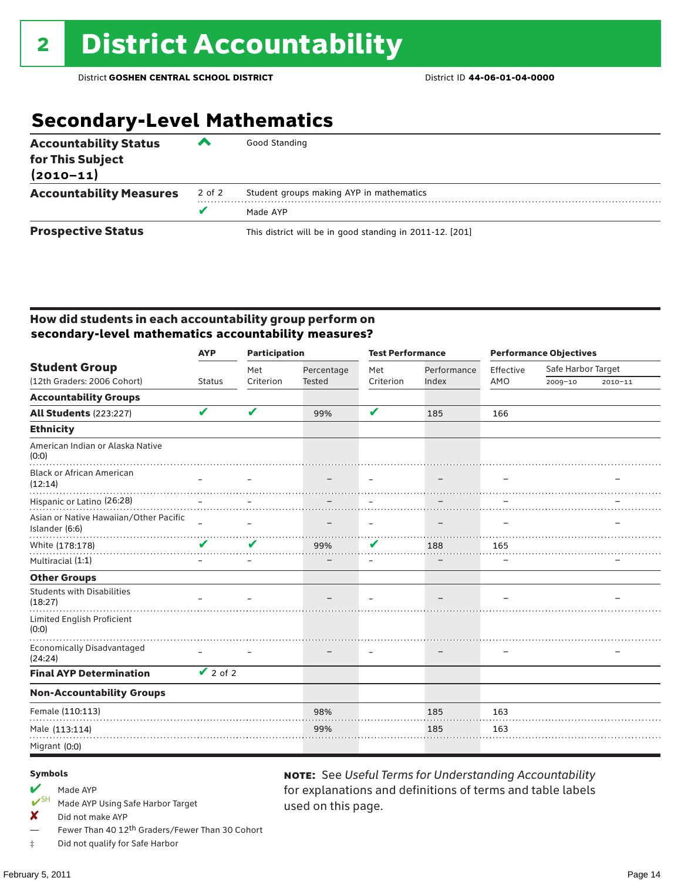## **Secondary-Level Mathematics**

| <b>Accountability Status</b><br>for This Subject<br>$(2010 - 11)$ | ‴      | Good Standing                                            |
|-------------------------------------------------------------------|--------|----------------------------------------------------------|
| <b>Accountability Measures</b>                                    | 2 of 2 | Student groups making AYP in mathematics                 |
|                                                                   |        | Made AYP                                                 |
| <b>Prospective Status</b>                                         |        | This district will be in good standing in 2011-12. [201] |

### How did students in each accountability group perform on **secondary-level mathematics accountability measures?**

|                                                          | <b>Participation</b><br><b>AYP</b>           |           |               | <b>Test Performance</b> |             | <b>Performance Objectives</b> |                    |             |
|----------------------------------------------------------|----------------------------------------------|-----------|---------------|-------------------------|-------------|-------------------------------|--------------------|-------------|
| <b>Student Group</b>                                     |                                              | Met       | Percentage    | Met                     | Performance | Effective                     | Safe Harbor Target |             |
| (12th Graders: 2006 Cohort)                              | <b>Status</b>                                | Criterion | <b>Tested</b> | Criterion               | Index       | AMO                           | 2009-10            | $2010 - 11$ |
| <b>Accountability Groups</b>                             |                                              |           |               |                         |             |                               |                    |             |
| <b>All Students (223:227)</b>                            | V                                            | V         | 99%           | V                       | 185         | 166                           |                    |             |
| <b>Ethnicity</b>                                         |                                              |           |               |                         |             |                               |                    |             |
| American Indian or Alaska Native<br>(0:0)                |                                              |           |               |                         |             |                               |                    |             |
| <b>Black or African American</b><br>(12:14)              |                                              |           |               |                         |             |                               |                    |             |
| Hispanic or Latino (26:28)                               |                                              |           |               |                         |             |                               |                    |             |
| Asian or Native Hawaiian/Other Pacific<br>Islander (6:6) | $\equiv$                                     | L         |               | $\qquad \qquad =$       |             |                               |                    |             |
| White (178:178)                                          | V                                            | V         | 99%           | V                       | 188         | 165                           |                    |             |
| Multiracial (1:1)                                        |                                              |           |               |                         |             |                               |                    |             |
| <b>Other Groups</b>                                      |                                              |           |               |                         |             |                               |                    |             |
| <b>Students with Disabilities</b><br>(18:27)             |                                              |           |               |                         |             |                               |                    |             |
| Limited English Proficient<br>(0:0)                      |                                              |           |               |                         |             |                               |                    |             |
| <b>Economically Disadvantaged</b><br>(24:24)             |                                              |           |               |                         |             |                               |                    |             |
| <b>Final AYP Determination</b>                           | $\overline{\smash{\bigtriangledown}}$ 2 of 2 |           |               |                         |             |                               |                    |             |
| <b>Non-Accountability Groups</b>                         |                                              |           |               |                         |             |                               |                    |             |
| Female (110:113)                                         |                                              |           | 98%           |                         | 185         | 163                           |                    |             |
| Male (113:114)                                           |                                              |           | 99%           |                         | 185         | 163                           |                    |             |
| Migrant (0:0)                                            |                                              |           |               |                         |             |                               |                    |             |

used on this page.

note: See *Useful Terms for Understanding Accountability*  for explanations and definitions of terms and table labels

#### Symbols

## Made AYP<br>
<del>V</del>SH Made AVP

- Made AYP Using Safe Harbor Target
- $\boldsymbol{X}$  Did not make AYP
- Fewer Than 40 12<sup>th</sup> Graders/Fewer Than 30 Cohort
- ‡ Did not qualify for Safe Harbor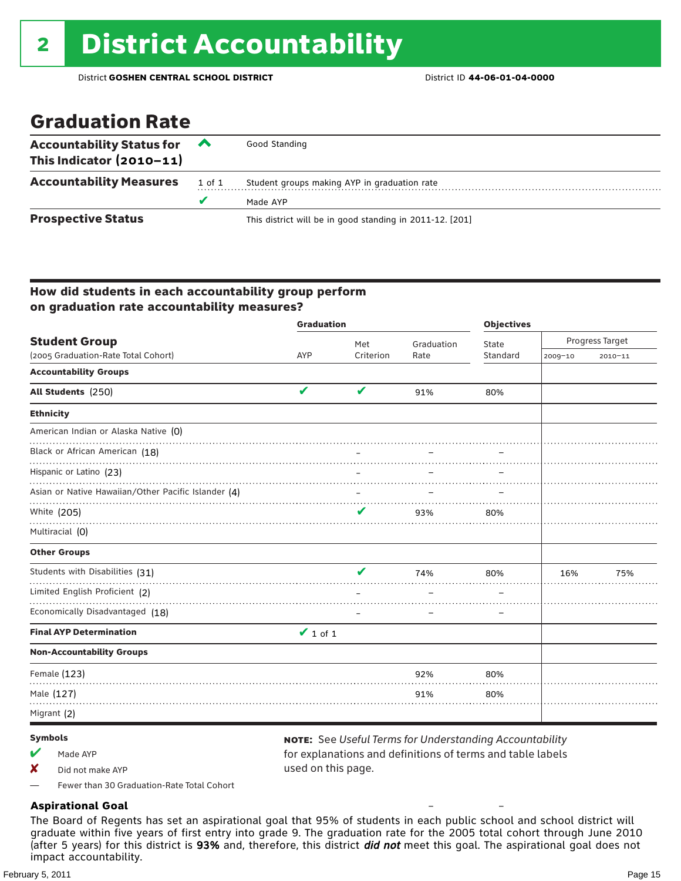## Graduation Rate

| <b>Accountability Status for</b><br>This Indicator $(2010-11)$ | <b>A</b> | Good Standing                                            |
|----------------------------------------------------------------|----------|----------------------------------------------------------|
| <b>Accountability Measures</b>                                 | 1 of 1   | Student groups making AYP in graduation rate             |
|                                                                | u        | Made AYP                                                 |
| <b>Prospective Status</b>                                      |          | This district will be in good standing in 2011-12. [201] |

### How did students in each accountability group perform on graduation rate accountability measures?

|                                                     | <b>Graduation</b>          |           |            | <b>Objectives</b> |                 |             |
|-----------------------------------------------------|----------------------------|-----------|------------|-------------------|-----------------|-------------|
| <b>Student Group</b>                                |                            | Met       | Graduation | State             | Progress Target |             |
| (2005 Graduation-Rate Total Cohort)                 | <b>AYP</b>                 | Criterion | Rate       | Standard          | 2009-10         | $2010 - 11$ |
| <b>Accountability Groups</b>                        |                            |           |            |                   |                 |             |
| All Students (250)                                  | $\boldsymbol{\mathcal{U}}$ | V         | 91%        | 80%               |                 |             |
| <b>Ethnicity</b>                                    |                            |           |            |                   |                 |             |
| American Indian or Alaska Native (0)                |                            |           |            |                   |                 |             |
| Black or African American (18)                      |                            |           |            |                   |                 |             |
| Hispanic or Latino (23)                             |                            |           |            |                   |                 |             |
| Asian or Native Hawaiian/Other Pacific Islander (4) |                            |           |            |                   |                 |             |
| White (205)                                         |                            | ✔         | 93%        | 80%               |                 |             |
| Multiracial (0)                                     |                            |           |            |                   |                 |             |
| <b>Other Groups</b>                                 |                            |           |            |                   |                 |             |
| Students with Disabilities (31)                     |                            | v         | 74%        | 80%               | 16%             | 75%         |
| Limited English Proficient (2)                      |                            |           |            |                   |                 |             |
| Economically Disadvantaged (18)                     |                            |           |            |                   |                 |             |
| <b>Final AYP Determination</b>                      | $\vee$ 1 of 1              |           |            |                   |                 |             |
| <b>Non-Accountability Groups</b>                    |                            |           |            |                   |                 |             |
| Female (123)                                        |                            |           | 92%        | 80%               |                 |             |
| Male (127)                                          |                            |           | 91%        | 80%               |                 |             |
| Migrant (2)                                         |                            |           |            |                   |                 |             |

### Symbols

 $M$  Made AYP

X Did not make AYP

note: See *Useful Terms for Understanding Accountability*  for explanations and definitions of terms and table labels used on this page.

–

–

— Fewer than 30 Graduation-Rate Total Cohort

### **Aspirational Goal**

The Board of Regents has set an aspirational goal that 95% of students in each public school and school district will graduate within five years of first entry into grade 9. The graduation rate for the 2005 total cohort through June 2010 (after 5 years) for this district is 93% and, therefore, this district *did not* meet this goal. The aspirational goal does not impact accountability.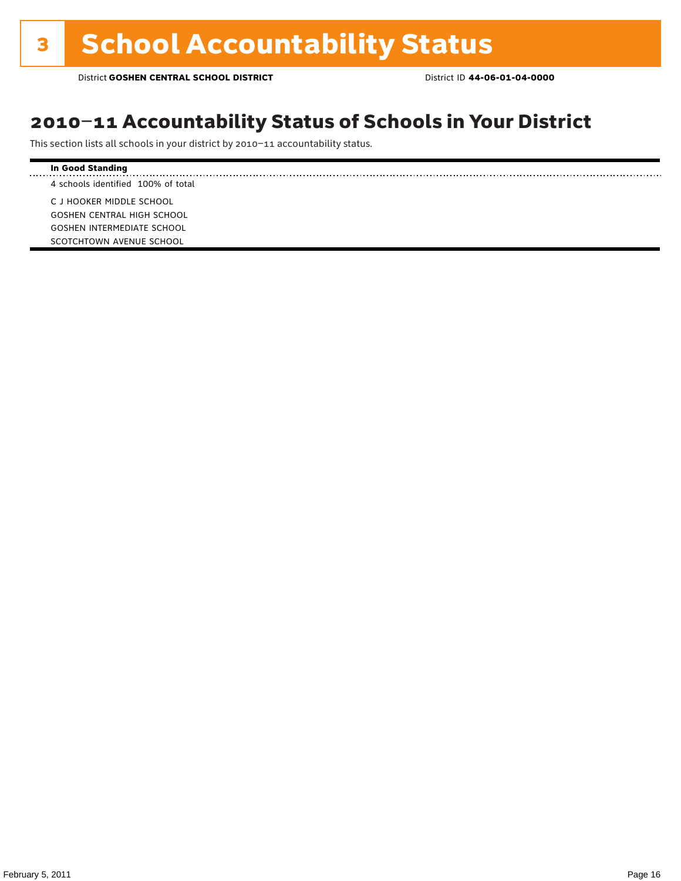## 2010–11 Accountability Status of Schools in Your District

This section lists all schools in your district by 2010–11 accountability status.

#### **In Good Standing** . . . . . . . . . . . . . . . . . . . . 4 schools identified 100% of total C J HOOKER MIDDLE SCHOOL GOSHEN CENTRAL HIGH SCHOOL GOSHEN INTERMEDIATE SCHOOL SCOTCHTOWN AVENUE SCHOOL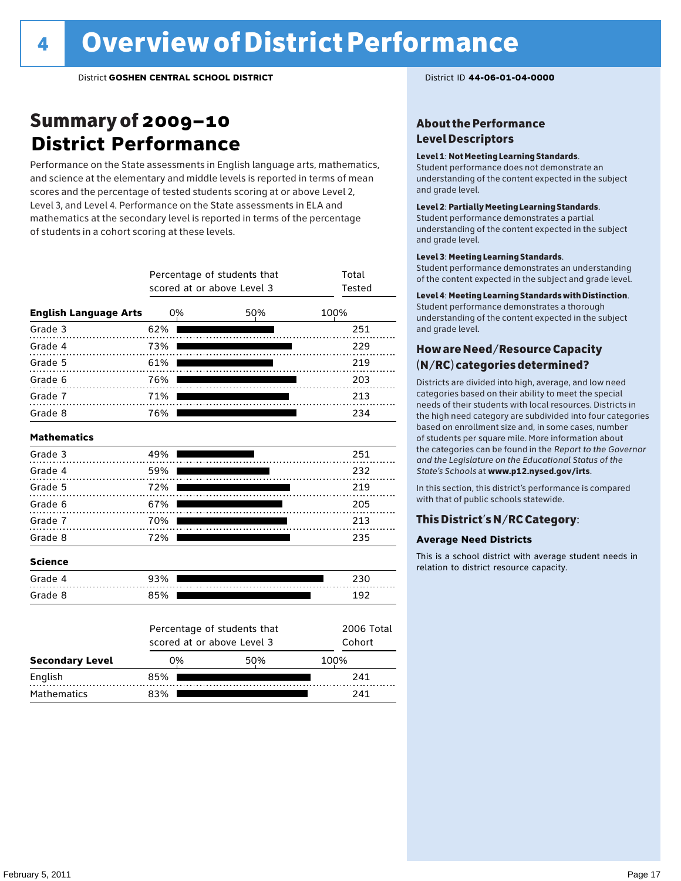## Summary of 2009–10 **District Performance**

Performance on the State assessments in English language arts, mathematics, and science at the elementary and middle levels is reported in terms of mean scores and the percentage of tested students scoring at or above Level 2, Level 3, and Level 4. Performance on the State assessments in ELA and mathematics at the secondary level is reported in terms of the percentage of students in a cohort scoring at these levels.

|                              |     | Percentage of students that<br>scored at or above Level 3 | Total<br>Tested             |            |  |
|------------------------------|-----|-----------------------------------------------------------|-----------------------------|------------|--|
| <b>English Language Arts</b> |     | 0%                                                        | 50%                         | 100%       |  |
| Grade 3                      | 62% |                                                           |                             | 251        |  |
| Grade 4                      | 73% |                                                           |                             | 229        |  |
| Grade 5                      | 61% |                                                           |                             | 219        |  |
| Grade 6                      | 76% |                                                           |                             | 203        |  |
| Grade 7                      | 71% |                                                           |                             | 213        |  |
| Grade 8                      | 76% |                                                           |                             | 234        |  |
| <b>Mathematics</b>           |     |                                                           |                             |            |  |
| Grade 3                      | 49% |                                                           |                             | 251        |  |
| Grade 4                      | 59% |                                                           |                             | 232        |  |
| Grade 5                      | 72% |                                                           |                             | 219        |  |
| Grade 6                      | 67% |                                                           |                             | 205        |  |
| Grade 7                      | 70% |                                                           |                             | 213        |  |
| Grade 8                      | 72% |                                                           |                             | 235        |  |
| <b>Science</b>               |     |                                                           |                             |            |  |
| Grade 4                      | 93% |                                                           |                             | 230        |  |
| Grade 8                      | 85% |                                                           |                             | 192        |  |
|                              |     |                                                           | Percentage of students that | 2006 Total |  |

|                        | scored at or above Level 3 | Cohort |      |
|------------------------|----------------------------|--------|------|
| <b>Secondary Level</b> | 0%                         | 50%    | 100% |
| English                | 85%                        |        | 241  |
| Mathematics            | 83%                        |        | 241  |

### About the Performance Level Descriptors

### Level 1: Not Meeting Learning Standards.

Student performance does not demonstrate an understanding of the content expected in the subject and grade level.

### Level 2: Partially Meeting Learning Standards.

Student performance demonstrates a partial understanding of the content expected in the subject and grade level.

#### Level 3: Meeting Learning Standards.

Student performance demonstrates an understanding of the content expected in the subject and grade level.

#### Level 4: Meeting Learning Standards with Distinction.

Student performance demonstrates a thorough understanding of the content expected in the subject and grade level.

### How are Need/Resource Capacity (N/RC) categories determined?

Districts are divided into high, average, and low need categories based on their ability to meet the special needs of their students with local resources. Districts in the high need category are subdivided into four categories based on enrollment size and, in some cases, number of students per square mile. More information about the categories can be found in the *Report to the Governor and the Legislature on the Educational Status of the State's Schools* at www.p12.nysed.gov/irts.

In this section, this district's performance is compared with that of public schools statewide.

### This District's N/RC Category:

### **Average Need Districts**

This is a school district with average student needs in relation to district resource capacity.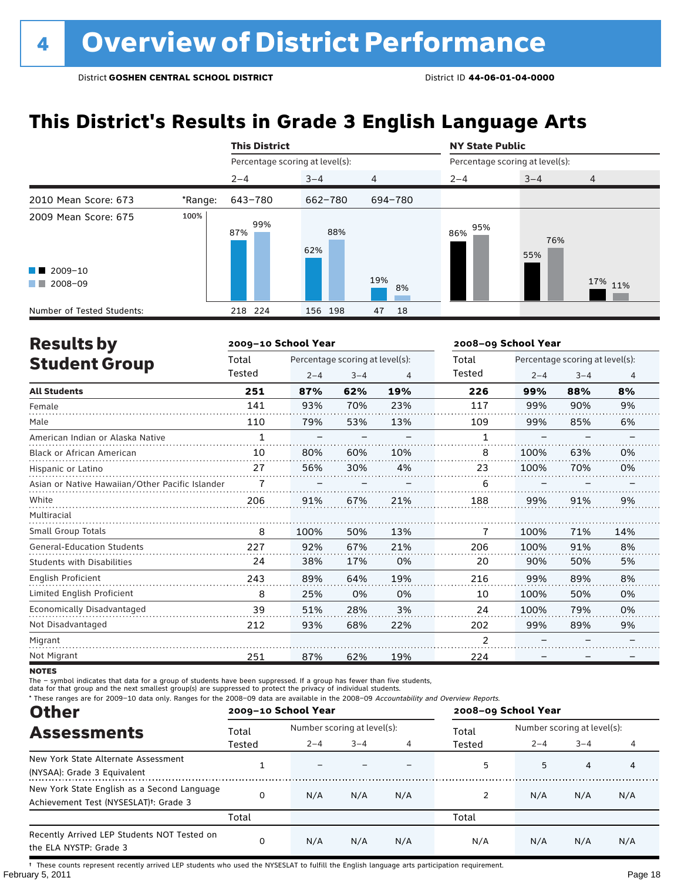## **This District's Results in Grade 3 English Language Arts**

|                                                                                                                                                                                                                                                 |         | <b>This District</b>            |            |           | <b>NY State Public</b>          |            |                |  |  |
|-------------------------------------------------------------------------------------------------------------------------------------------------------------------------------------------------------------------------------------------------|---------|---------------------------------|------------|-----------|---------------------------------|------------|----------------|--|--|
|                                                                                                                                                                                                                                                 |         | Percentage scoring at level(s): |            |           | Percentage scoring at level(s): |            |                |  |  |
|                                                                                                                                                                                                                                                 |         | $2 - 4$                         | $3 - 4$    | 4         | $2 - 4$                         | $3 - 4$    | $\overline{4}$ |  |  |
| 2010 Mean Score: 673                                                                                                                                                                                                                            | *Range: | 643-780                         | 662-780    | 694-780   |                                 |            |                |  |  |
| 2009 Mean Score: 675                                                                                                                                                                                                                            | 100%    | 99%<br>87%                      | 88%<br>62% |           | 95%<br>86%                      | 76%<br>55% |                |  |  |
| $\blacksquare$ 2009-10                                                                                                                                                                                                                          |         |                                 |            |           |                                 |            |                |  |  |
| 2008-09<br><b>The Contract of the Contract of the Contract of the Contract of the Contract of the Contract of the Contract of the Contract of the Contract of the Contract of the Contract of the Contract of The Contract of The Contract </b> |         |                                 |            | 19%<br>8% |                                 |            | 17% 11%        |  |  |
| Number of Tested Students:                                                                                                                                                                                                                      |         | 218 224                         | 156 198    | 47<br>18  |                                 |            |                |  |  |

| <b>Results by</b>                               |              | 2009-10 School Year |                                 |     | 2008-09 School Year |         |                                 |     |
|-------------------------------------------------|--------------|---------------------|---------------------------------|-----|---------------------|---------|---------------------------------|-----|
| <b>Student Group</b>                            | Total        |                     | Percentage scoring at level(s): |     | Total               |         | Percentage scoring at level(s): |     |
|                                                 | Tested       | $2 - 4$             | $3 - 4$                         | 4   | Tested              | $2 - 4$ | $3 - 4$                         | 4   |
| <b>All Students</b>                             | 251          | 87%                 | 62%                             | 19% | 226                 | 99%     | 88%                             | 8%  |
| Female                                          | 141          | 93%                 | 70%                             | 23% | 117                 | 99%     | 90%                             | 9%  |
| Male                                            | 110          | 79%                 | 53%                             | 13% | 109                 | 99%     | 85%                             | 6%  |
| American Indian or Alaska Native                | $\mathbf{1}$ |                     |                                 |     | 1                   |         |                                 |     |
| <b>Black or African American</b>                | 10           | 80%                 | 60%                             | 10% | 8                   | 100%    | 63%                             | 0%  |
| Hispanic or Latino                              | 27           | 56%                 | 30%                             | 4%  | 23                  | 100%    | 70%                             | 0%  |
| Asian or Native Hawaiian/Other Pacific Islander |              |                     |                                 |     | 6                   |         |                                 |     |
| White                                           | 206          | 91%                 | 67%                             | 21% | 188                 | 99%     | 91%                             | 9%  |
| Multiracial                                     |              |                     |                                 |     |                     |         |                                 |     |
| <b>Small Group Totals</b>                       | 8            | 100%                | 50%                             | 13% | 7                   | 100%    | 71%                             | 14% |
| <b>General-Education Students</b>               | 227          | 92%                 | 67%                             | 21% | 206                 | 100%    | 91%                             | 8%  |
| <b>Students with Disabilities</b>               | 24           | 38%                 | 17%                             | 0%  | 20                  | 90%     | 50%                             | 5%  |
| English Proficient                              | 243          | 89%                 | 64%                             | 19% | 216                 | 99%     | 89%                             | 8%  |
| Limited English Proficient                      | 8            | 25%                 | 0%                              | 0%  | 10                  | 100%    | 50%                             | 0%  |
| Economically Disadvantaged                      | 39           | 51%                 | 28%                             | 3%  | 24                  | 100%    | 79%                             | 0%  |
| Not Disadvantaged                               | 212          | 93%                 | 68%                             | 22% | 202                 | 99%     | 89%                             | 9%  |
| Migrant                                         |              |                     |                                 |     | 2                   |         |                                 |     |
| Not Migrant                                     | 251          | 87%                 | 62%                             | 19% | 224                 |         |                                 |     |

**NOTES** 

The – symbol indicates that data for a group of students have been suppressed. If a group has fewer than five students,

data for that group and the next smallest group(s) are suppressed to protect the privacy of individual students.

\* These ranges are for 2009–10 data only. Ranges for the 2008–09 data are available in the 2008–09 Accountability and Overview Reports.

| <b>Other</b>                                                                                      |          | 2009-10 School Year |                             |     | 2008-09 School Year |         |                             |     |  |
|---------------------------------------------------------------------------------------------------|----------|---------------------|-----------------------------|-----|---------------------|---------|-----------------------------|-----|--|
| <b>Assessments</b>                                                                                | Total    |                     | Number scoring at level(s): |     |                     |         | Number scoring at level(s): |     |  |
|                                                                                                   | Tested   | $2 - 4$             | $3 - 4$                     |     | Tested              | $2 - 4$ | $3 - 4$                     |     |  |
| New York State Alternate Assessment<br>(NYSAA): Grade 3 Equivalent                                |          |                     |                             |     | 5                   | 5       | 4                           | 4   |  |
| New York State English as a Second Language<br>Achievement Test (NYSESLAT) <sup>+</sup> : Grade 3 | O        | N/A                 | N/A                         | N/A |                     | N/A     | N/A                         | N/A |  |
|                                                                                                   | Total    |                     |                             |     | Total               |         |                             |     |  |
| Recently Arrived LEP Students NOT Tested on<br>the ELA NYSTP: Grade 3                             | $\Omega$ | N/A                 | N/A                         | N/A | N/A                 | N/A     | N/A                         | N/A |  |

February 5, 2011 **Page 18** † These counts represent recently arrived LEP students who used the NYSESLAT to fulfill the English language arts participation requirement.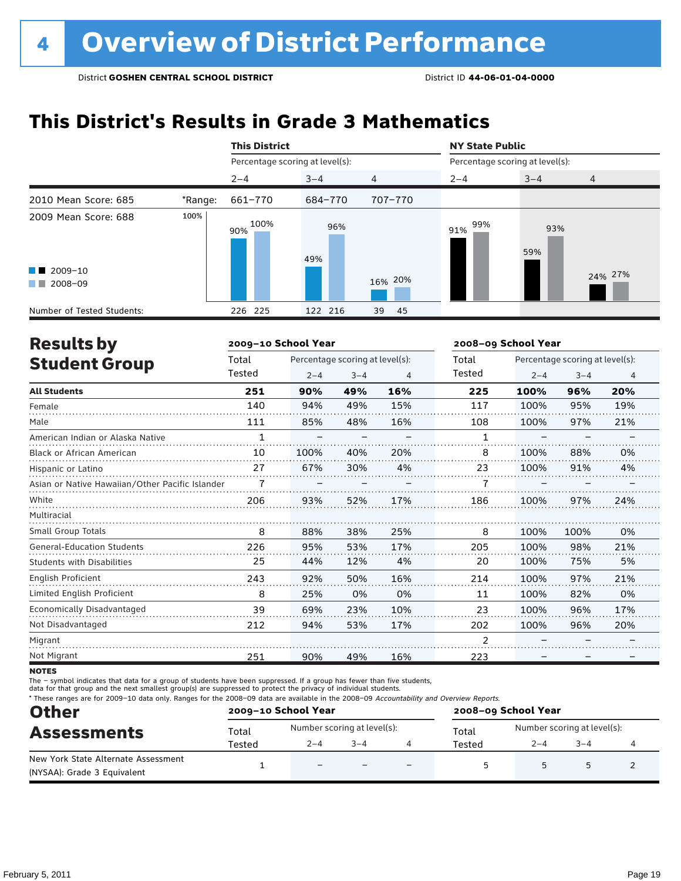## **This District's Results in Grade 3 Mathematics**

|                                                                                                                                                                                                                                                 |         | <b>This District</b>            |            |          | <b>NY State Public</b>          |            |         |  |
|-------------------------------------------------------------------------------------------------------------------------------------------------------------------------------------------------------------------------------------------------|---------|---------------------------------|------------|----------|---------------------------------|------------|---------|--|
|                                                                                                                                                                                                                                                 |         | Percentage scoring at level(s): |            |          | Percentage scoring at level(s): |            |         |  |
|                                                                                                                                                                                                                                                 |         | $2 - 4$                         | $3 - 4$    | 4        | $2 - 4$                         | $3 - 4$    | 4       |  |
| 2010 Mean Score: 685                                                                                                                                                                                                                            | *Range: | 661-770                         | 684-770    | 707-770  |                                 |            |         |  |
| 2009 Mean Score: 688<br>$\blacksquare$ 2009-10                                                                                                                                                                                                  | 100%    | 100%<br>90%                     | 96%<br>49% | 16% 20%  | 99%<br>91%                      | 93%<br>59% | 24% 27% |  |
| 2008-09<br><b>The Contract of the Contract of the Contract of the Contract of the Contract of the Contract of the Contract of the Contract of the Contract of the Contract of the Contract of the Contract of The Contract of The Contract </b> |         |                                 |            |          |                                 |            |         |  |
| Number of Tested Students:                                                                                                                                                                                                                      |         | 226 225                         | 122 216    | 45<br>39 |                                 |            |         |  |

| <b>Results by</b>                               |              | 2009-10 School Year |                                 |     | 2008-09 School Year |         |                                 |     |
|-------------------------------------------------|--------------|---------------------|---------------------------------|-----|---------------------|---------|---------------------------------|-----|
| <b>Student Group</b>                            | Total        |                     | Percentage scoring at level(s): |     | Total               |         | Percentage scoring at level(s): |     |
|                                                 | Tested       | $2 - 4$             | $3 - 4$                         | 4   | Tested              | $2 - 4$ | $3 - 4$                         | 4   |
| <b>All Students</b>                             | 251          | 90%                 | 49%                             | 16% | 225                 | 100%    | 96%                             | 20% |
| Female                                          | 140          | 94%                 | 49%                             | 15% | 117                 | 100%    | 95%                             | 19% |
| Male                                            | 111          | 85%                 | 48%                             | 16% | 108                 | 100%    | 97%                             | 21% |
| American Indian or Alaska Native                | $\mathbf{1}$ |                     |                                 |     |                     |         |                                 |     |
| Black or African American                       | 10           | 100%                | 40%                             | 20% | 8                   | 100%    | 88%                             | 0%  |
| Hispanic or Latino                              | 27           | 67%                 | 30%                             | 4%  | 23                  | 100%    | 91%                             | 4%  |
| Asian or Native Hawaiian/Other Pacific Islander |              |                     |                                 |     |                     |         |                                 |     |
| White                                           | 206          | 93%                 | 52%                             | 17% | 186                 | 100%    | 97%                             | 24% |
| Multiracial                                     |              |                     |                                 |     |                     |         |                                 |     |
| <b>Small Group Totals</b>                       | 8            | 88%                 | 38%                             | 25% | 8                   | 100%    | 100%                            | 0%  |
| <b>General-Education Students</b>               | 226          | 95%                 | 53%                             | 17% | 205                 | 100%    | 98%                             | 21% |
| <b>Students with Disabilities</b>               | 25           | 44%                 | 12%                             | 4%  | 20                  | 100%    | 75%                             | 5%  |
| English Proficient                              | 243          | 92%                 | 50%                             | 16% | 214                 | 100%    | 97%                             | 21% |
| Limited English Proficient                      | 8            | 25%                 | 0%                              | 0%  | 11                  | 100%    | 82%                             | 0%  |
| Economically Disadvantaged                      | 39           | 69%                 | 23%                             | 10% | 23                  | 100%    | 96%                             | 17% |
| Not Disadvantaged                               | 212          | 94%                 | 53%                             | 17% | 202                 | 100%    | 96%                             | 20% |
| Migrant                                         |              |                     |                                 |     | $\overline{2}$      |         |                                 |     |
| Not Migrant                                     | 251          | 90%                 | 49%                             | 16% | 223                 |         |                                 |     |

**NOTES** 

The – symbol indicates that data for a group of students have been suppressed. If a group has fewer than five students,

data for that group and the next smallest group(s) are suppressed to protect the privacy of individual students.

\* These ranges are for 2009–10 data only. Ranges for the 2008–09 data are available in the 2008–09 Accountability and Overview Reports.

| <b>Other</b>                        | 2009-10 School Year |                             |         | 2008-09 School Year |                             |         |  |  |
|-------------------------------------|---------------------|-----------------------------|---------|---------------------|-----------------------------|---------|--|--|
| <b>Assessments</b>                  | Total               | Number scoring at level(s): |         | Total               | Number scoring at level(s): |         |  |  |
|                                     | Tested              | $2 - 4$                     | $3 - 4$ | Tested              | $2 - 4$                     | $3 - 4$ |  |  |
| New York State Alternate Assessment |                     | $\overline{\phantom{0}}$    |         |                     |                             |         |  |  |
| (NYSAA): Grade 3 Equivalent         |                     |                             |         |                     |                             |         |  |  |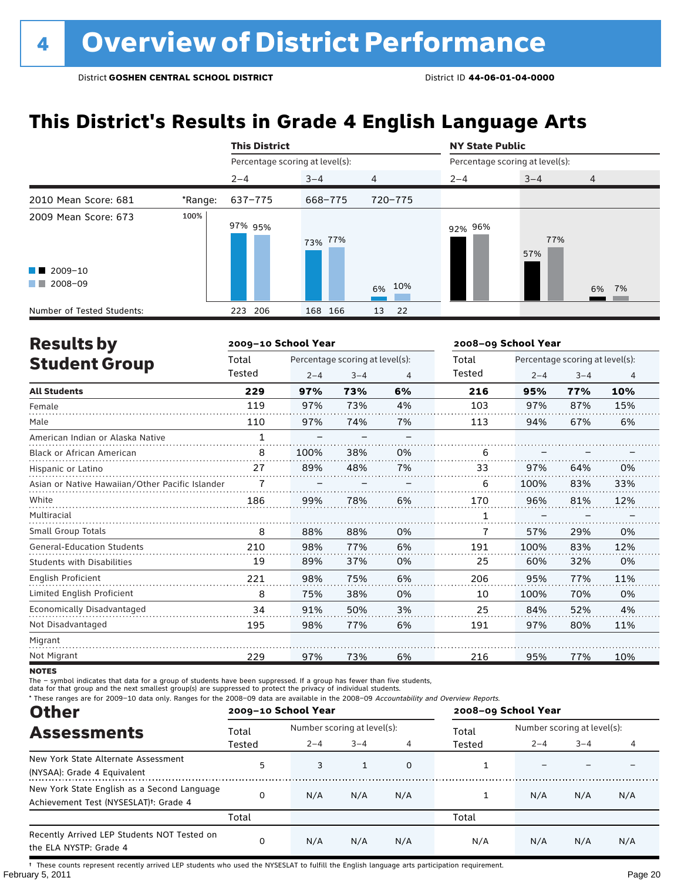## **This District's Results in Grade 4 English Language Arts**

|                            |         | <b>This District</b>            |         |                | <b>NY State Public</b>          |            |                |
|----------------------------|---------|---------------------------------|---------|----------------|---------------------------------|------------|----------------|
|                            |         | Percentage scoring at level(s): |         |                | Percentage scoring at level(s): |            |                |
|                            |         | $2 - 4$                         | $3 - 4$ | $\overline{4}$ | $2 - 4$                         | $3 - 4$    | $\overline{4}$ |
| 2010 Mean Score: 681       | *Range: | 637-775                         | 668-775 | 720-775        |                                 |            |                |
| 2009 Mean Score: 673       | 100%    | 97% 95%                         | 73% 77% |                | 92% 96%                         | 77%<br>57% |                |
| $\blacksquare$ 2009-10     |         |                                 |         |                |                                 |            |                |
| 2008-09<br>a ka            |         |                                 |         | 6% 10%         |                                 |            | 6% 7%          |
| Number of Tested Students: |         | 206<br>223                      | 168 166 | 13<br>22       |                                 |            |                |

| <b>Results by</b>                               |              | 2009-10 School Year |                                 |    | 2008-09 School Year |         |                                 |                |
|-------------------------------------------------|--------------|---------------------|---------------------------------|----|---------------------|---------|---------------------------------|----------------|
| <b>Student Group</b>                            | Total        |                     | Percentage scoring at level(s): |    | Total               |         | Percentage scoring at level(s): |                |
|                                                 | Tested       | $2 - 4$             | $3 - 4$                         | 4  | Tested              | $2 - 4$ | $3 - 4$                         | $\overline{4}$ |
| <b>All Students</b>                             | 229          | 97%                 | 73%                             | 6% | 216                 | 95%     | 77%                             | 10%            |
| Female                                          | 119          | 97%                 | 73%                             | 4% | 103                 | 97%     | 87%                             | 15%            |
| Male                                            | 110          | 97%                 | 74%                             | 7% | 113                 | 94%     | 67%                             | 6%             |
| American Indian or Alaska Native                | $\mathbf{1}$ |                     |                                 |    |                     |         |                                 |                |
| Black or African American                       | 8            | 100%                | 38%                             | 0% | 6                   |         |                                 |                |
| Hispanic or Latino                              | 27           | 89%                 | 48%                             | 7% | 33                  | 97%     | 64%                             | 0%             |
| Asian or Native Hawaiian/Other Pacific Islander |              |                     |                                 |    | 6                   | 100%    | 83%                             | 33%            |
| White                                           | 186          | 99%                 | 78%                             | 6% | 170                 | 96%     | 81%                             | 12%            |
| Multiracial                                     |              |                     |                                 |    |                     |         |                                 |                |
| Small Group Totals                              | 8            | 88%                 | 88%                             | 0% | 7                   | 57%     | 29%                             | 0%             |
| <b>General-Education Students</b>               | 210          | 98%                 | 77%                             | 6% | 191                 | 100%    | 83%                             | 12%            |
| <b>Students with Disabilities</b>               | 19           | 89%                 | 37%                             | 0% | 25                  | 60%     | 32%                             | 0%             |
| English Proficient                              | 221          | 98%                 | 75%                             | 6% | 206                 | 95%     | 77%                             | 11%            |
| Limited English Proficient                      | 8            | 75%                 | 38%                             | 0% | 10                  | 100%    | 70%                             | 0%             |
| Economically Disadvantaged                      | 34           | 91%                 | 50%                             | 3% | 25                  | 84%     | 52%                             | 4%             |
| Not Disadvantaged                               | 195          | 98%                 | 77%                             | 6% | 191                 | 97%     | 80%                             | 11%            |
| Migrant                                         |              |                     |                                 |    |                     |         |                                 |                |
| Not Migrant                                     | 229          | 97%                 | 73%                             | 6% | 216                 | 95%     | 77%                             | 10%            |

**NOTES** 

The – symbol indicates that data for a group of students have been suppressed. If a group has fewer than five students,

data for that group and the next smallest group(s) are suppressed to protect the privacy of individual students.

\* These ranges are for 2009–10 data only. Ranges for the 2008–09 data are available in the 2008–09 Accountability and Overview Reports.

| <b>Other</b>                                                                                      |        | 2009-10 School Year |                             |     | 2008-09 School Year |                             |         |     |
|---------------------------------------------------------------------------------------------------|--------|---------------------|-----------------------------|-----|---------------------|-----------------------------|---------|-----|
| <b>Assessments</b>                                                                                | Total  |                     | Number scoring at level(s): |     |                     | Number scoring at level(s): |         |     |
|                                                                                                   | Tested | $2 - 4$             | $3 - 4$                     |     | Tested              | $2 - 4$                     | $3 - 4$ | 4   |
| New York State Alternate Assessment<br>(NYSAA): Grade 4 Equivalent                                | 5      | 3                   |                             | 0   |                     |                             |         |     |
| New York State English as a Second Language<br>Achievement Test (NYSESLAT) <sup>+</sup> : Grade 4 |        | N/A                 | N/A                         | N/A |                     | N/A                         | N/A     | N/A |
|                                                                                                   | Total  |                     |                             |     | Total               |                             |         |     |
| Recently Arrived LEP Students NOT Tested on<br>the ELA NYSTP: Grade 4                             |        | N/A                 | N/A                         | N/A | N/A                 | N/A                         | N/A     | N/A |

February 5, 2011 Page 20 † These counts represent recently arrived LEP students who used the NYSESLAT to fulfill the English language arts participation requirement.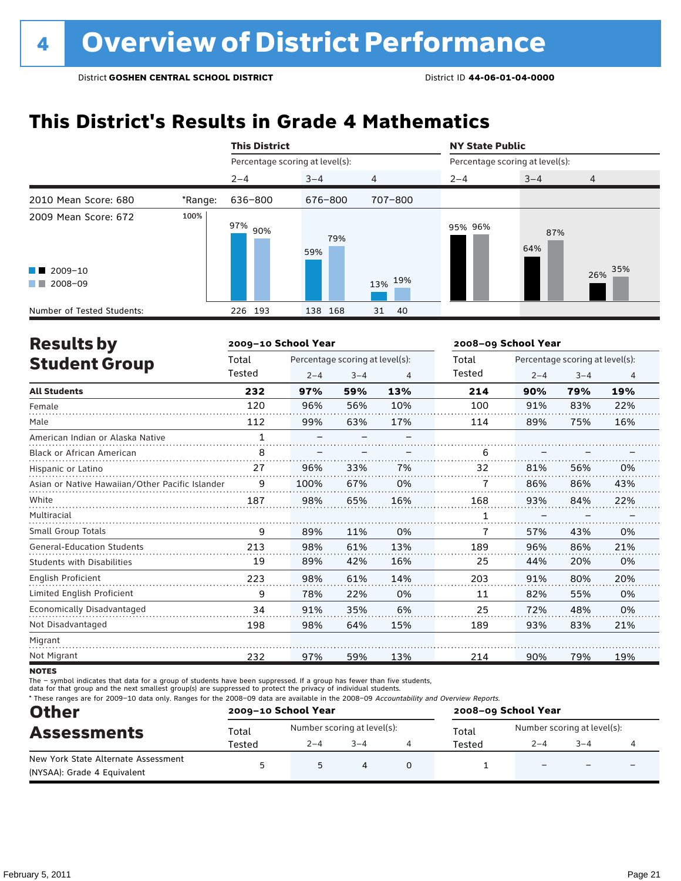## **This District's Results in Grade 4 Mathematics**

|                                                                                                                                                                                                                                                 |         | <b>This District</b>            |            |                | <b>NY State Public</b><br>Percentage scoring at level(s): |            |                |  |
|-------------------------------------------------------------------------------------------------------------------------------------------------------------------------------------------------------------------------------------------------|---------|---------------------------------|------------|----------------|-----------------------------------------------------------|------------|----------------|--|
|                                                                                                                                                                                                                                                 |         | Percentage scoring at level(s): |            |                |                                                           |            |                |  |
|                                                                                                                                                                                                                                                 |         | $2 - 4$                         | $3 - 4$    | $\overline{4}$ | $2 - 4$                                                   | $3 - 4$    | $\overline{4}$ |  |
| 2010 Mean Score: 680                                                                                                                                                                                                                            | *Range: | 636-800                         | 676-800    | 707-800        |                                                           |            |                |  |
| 2009 Mean Score: 672                                                                                                                                                                                                                            | 100%    | 97% <sub>90%</sub>              | 79%<br>59% |                | 95% 96%                                                   | 87%<br>64% |                |  |
| $\blacksquare$ 2009-10                                                                                                                                                                                                                          |         |                                 |            |                |                                                           |            | 35%<br>26%     |  |
| 2008-09<br><b>The Contract of the Contract of the Contract of the Contract of the Contract of the Contract of the Contract of the Contract of the Contract of the Contract of the Contract of the Contract of The Contract of The Contract </b> |         |                                 |            | 13% 19%        |                                                           |            |                |  |
| Number of Tested Students:                                                                                                                                                                                                                      |         | 226 193                         | 138 168    | 31<br>-40      |                                                           |            |                |  |

| <b>Results by</b>                               |              | 2009-10 School Year |                                 |     | 2008-09 School Year |         |                                 |     |
|-------------------------------------------------|--------------|---------------------|---------------------------------|-----|---------------------|---------|---------------------------------|-----|
| <b>Student Group</b>                            | Total        |                     | Percentage scoring at level(s): |     | Total               |         | Percentage scoring at level(s): |     |
|                                                 | Tested       | $2 - 4$             | $3 - 4$                         | 4   | Tested              | $2 - 4$ | $3 - 4$                         | 4   |
| <b>All Students</b>                             | 232          | 97%                 | 59%                             | 13% | 214                 | 90%     | 79%                             | 19% |
| Female                                          | 120          | 96%                 | 56%                             | 10% | 100                 | 91%     | 83%                             | 22% |
| Male                                            | 112          | 99%                 | 63%                             | 17% | 114                 | 89%     | 75%                             | 16% |
| American Indian or Alaska Native                | $\mathbf{1}$ |                     |                                 |     |                     |         |                                 |     |
| Black or African American                       | 8            |                     |                                 |     | 6                   |         |                                 |     |
| Hispanic or Latino                              | 27           | 96%                 | 33%                             | 7%  | 32                  | 81%     | 56%                             | 0%  |
| Asian or Native Hawaiian/Other Pacific Islander | 9            | 100%                | 67%                             | 0%  | 7                   | 86%     | 86%                             | 43% |
| White                                           | 187          | 98%                 | 65%                             | 16% | 168                 | 93%     | 84%                             | 22% |
| Multiracial                                     |              |                     |                                 |     | 1                   |         |                                 |     |
| Small Group Totals                              | 9            | 89%                 | 11%                             | 0%  | 7                   | 57%     | 43%                             | 0%  |
| <b>General-Education Students</b>               | 213          | 98%                 | 61%                             | 13% | 189                 | 96%     | 86%                             | 21% |
| <b>Students with Disabilities</b>               | 19           | 89%                 | 42%                             | 16% | 25                  | 44%     | 20%                             | 0%  |
| <b>English Proficient</b>                       | 223          | 98%                 | 61%                             | 14% | 203                 | 91%     | 80%                             | 20% |
| Limited English Proficient                      | 9            | 78%                 | 22%                             | 0%  | 11                  | 82%     | 55%                             | 0%  |
| Economically Disadvantaged                      | 34           | 91%                 | 35%                             | 6%  | 25                  | 72%     | 48%                             | 0%  |
| Not Disadvantaged                               | 198          | 98%                 | 64%                             | 15% | 189                 | 93%     | 83%                             | 21% |
| Migrant                                         |              |                     |                                 |     |                     |         |                                 |     |
| Not Migrant                                     | 232          | 97%                 | 59%                             | 13% | 214                 | 90%     | 79%                             | 19% |

**NOTES** 

The – symbol indicates that data for a group of students have been suppressed. If a group has fewer than five students,

data for that group and the next smallest group(s) are suppressed to protect the privacy of individual students.

\* These ranges are for 2009–10 data only. Ranges for the 2008–09 data are available in the 2008–09 Accountability and Overview Reports.

| <b>Other</b><br><b>Assessments</b>  |        | 2009-10 School Year         |         | 2008-09 School Year |                             |                          |                          |  |
|-------------------------------------|--------|-----------------------------|---------|---------------------|-----------------------------|--------------------------|--------------------------|--|
|                                     | Total  | Number scoring at level(s): |         | Total               | Number scoring at level(s): |                          |                          |  |
|                                     | Tested | $2 - 4$                     | $3 - 4$ | Tested              | $2 - 4$                     | $3 - 4$                  |                          |  |
| New York State Alternate Assessment |        | 5                           | Δ       |                     | $\overline{\phantom{0}}$    | $\overline{\phantom{0}}$ | $\overline{\phantom{0}}$ |  |
| (NYSAA): Grade 4 Equivalent         |        |                             |         |                     |                             |                          |                          |  |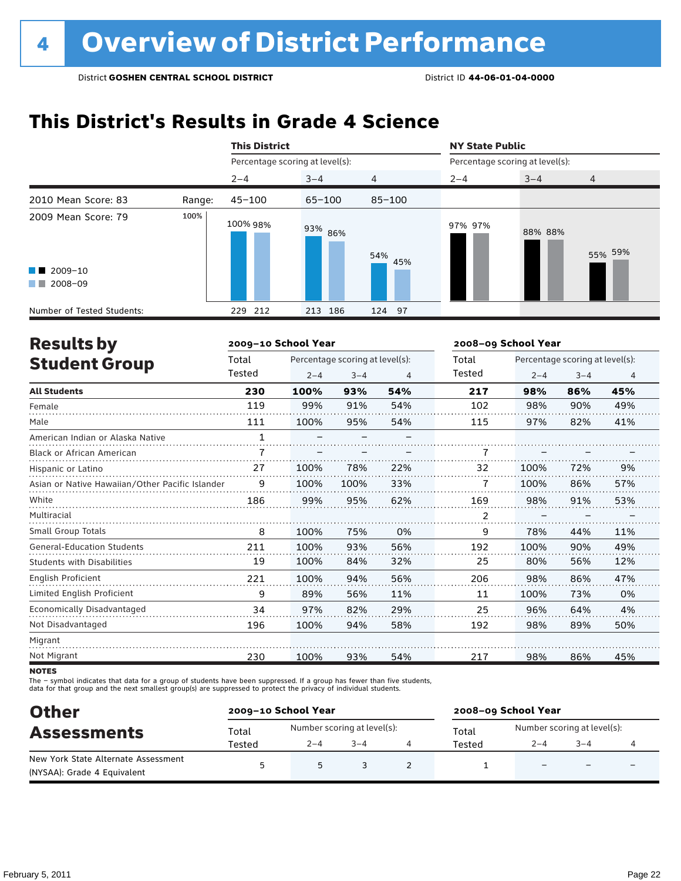## **This District's Results in Grade 4 Science**

|                                                                                                                                                                                                                                                                                                  |        | <b>This District</b>            |            |            | <b>NY State Public</b>          |         |         |
|--------------------------------------------------------------------------------------------------------------------------------------------------------------------------------------------------------------------------------------------------------------------------------------------------|--------|---------------------------------|------------|------------|---------------------------------|---------|---------|
|                                                                                                                                                                                                                                                                                                  |        | Percentage scoring at level(s): |            |            | Percentage scoring at level(s): |         |         |
|                                                                                                                                                                                                                                                                                                  |        | $2 - 4$                         | $3 - 4$    | 4          | $2 - 4$                         | $3 - 4$ | 4       |
| 2010 Mean Score: 83                                                                                                                                                                                                                                                                              | Range: | $45 - 100$                      | $65 - 100$ | $85 - 100$ |                                 |         |         |
| 2009 Mean Score: 79<br>$\blacksquare$ 2009-10<br>2008-09<br><b>The Contract of the Contract of the Contract of the Contract of the Contract of the Contract of the Contract of the Contract of the Contract of the Contract of the Contract of the Contract of The Contract of The Contract </b> | 100%   | 100% 98%                        | 93% 86%    | 54%<br>45% | 97% 97%                         | 88% 88% | 55% 59% |
| Number of Tested Students:                                                                                                                                                                                                                                                                       |        | 229 212                         | 186<br>213 | 124 97     |                                 |         |         |

| <b>Results by</b>                               |              | 2009-10 School Year      |                                 |     | 2008-09 School Year |         |                                 |                |
|-------------------------------------------------|--------------|--------------------------|---------------------------------|-----|---------------------|---------|---------------------------------|----------------|
| <b>Student Group</b>                            | Total        |                          | Percentage scoring at level(s): |     | Total               |         | Percentage scoring at level(s): |                |
|                                                 | Tested       | $2 - 4$                  | $3 - 4$                         | 4   | Tested              | $2 - 4$ | $3 - 4$                         | $\overline{4}$ |
| <b>All Students</b>                             | 230          | 100%                     | 93%                             | 54% | 217                 | 98%     | 86%                             | 45%            |
| Female                                          | 119          | 99%                      | 91%                             | 54% | 102                 | 98%     | 90%                             | 49%            |
| Male                                            | 111          | 100%                     | 95%                             | 54% | 115                 | 97%     | 82%                             | 41%            |
| American Indian or Alaska Native                | $\mathbf{1}$ | $\overline{\phantom{0}}$ |                                 |     |                     |         |                                 |                |
| <b>Black or African American</b>                | 7            |                          |                                 |     | 7                   |         |                                 |                |
| Hispanic or Latino                              | 27           | 100%                     | 78%                             | 22% | 32                  | 100%    | 72%                             | 9%             |
| Asian or Native Hawaiian/Other Pacific Islander | 9            | 100%                     | 100%                            | 33% |                     | 100%    | 86%                             | 57%            |
| White                                           | 186          | 99%                      | 95%                             | 62% | 169                 | 98%     | 91%                             | 53%            |
| Multiracial                                     |              |                          |                                 |     | 2                   |         |                                 |                |
| <b>Small Group Totals</b>                       | 8            | 100%                     | 75%                             | 0%  | 9                   | 78%     | 44%                             | 11%            |
| <b>General-Education Students</b>               | 211          | 100%                     | 93%                             | 56% | 192                 | 100%    | 90%                             | 49%            |
| <b>Students with Disabilities</b>               | 19           | 100%                     | 84%                             | 32% | 25                  | 80%     | 56%                             | 12%            |
| <b>English Proficient</b>                       | 221          | 100%                     | 94%                             | 56% | 206                 | 98%     | 86%                             | 47%            |
| Limited English Proficient                      | 9            | 89%                      | 56%                             | 11% | 11                  | 100%    | 73%                             | 0%             |
| Economically Disadvantaged                      | 34           | 97%                      | 82%                             | 29% | 25                  | 96%     | 64%                             | 4%             |
| Not Disadvantaged                               | 196          | 100%                     | 94%                             | 58% | 192                 | 98%     | 89%                             | 50%            |
| Migrant                                         |              |                          |                                 |     |                     |         |                                 |                |
| Not Migrant                                     | 230          | 100%                     | 93%                             | 54% | 217                 | 98%     | 86%                             | 45%            |
|                                                 |              |                          |                                 |     |                     |         |                                 |                |

**NOTES** 

The – symbol indicates that data for a group of students have been suppressed. If a group has fewer than five students,<br>data for that group and the next smallest group(s) are suppressed to protect the privacy of individual

| <b>Other</b><br><b>Assessments</b>                                 |        | 2009-10 School Year         |         |  | 2008-09 School Year |                             |                          |  |  |
|--------------------------------------------------------------------|--------|-----------------------------|---------|--|---------------------|-----------------------------|--------------------------|--|--|
|                                                                    | Total  | Number scoring at level(s): |         |  | Total               | Number scoring at level(s): |                          |  |  |
|                                                                    | Tested | $2 - 4$                     | $3 - 4$ |  | Tested              | $2 - 4$                     | $3 - 4$                  |  |  |
| New York State Alternate Assessment<br>(NYSAA): Grade 4 Equivalent |        | 5                           |         |  |                     |                             | $\overline{\phantom{0}}$ |  |  |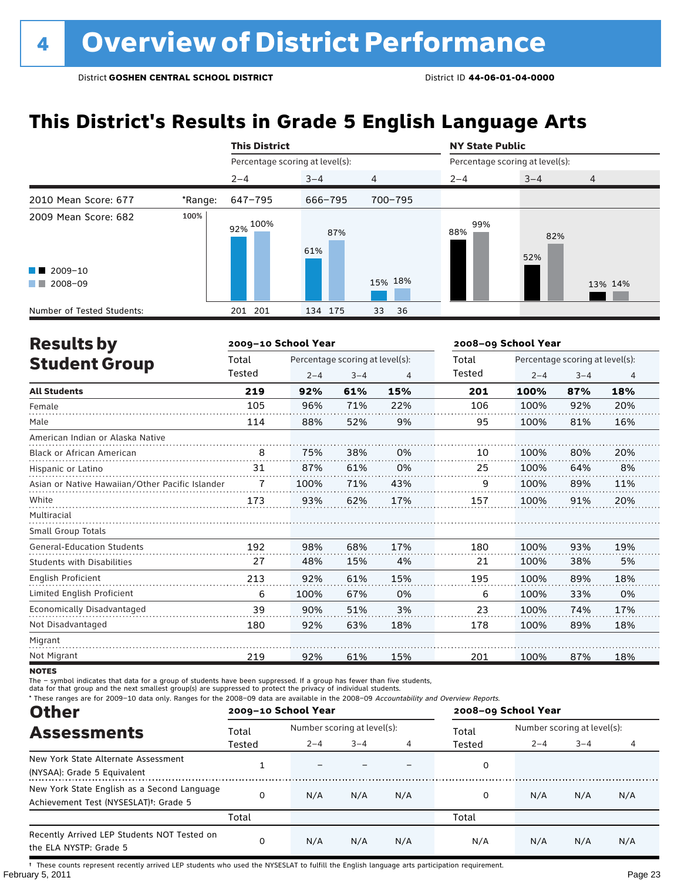## **This District's Results in Grade 5 English Language Arts**

|                                                                                                                                                                                                                                                 |         | <b>This District</b>            |            |          | <b>NY State Public</b><br>Percentage scoring at level(s): |            |                |  |
|-------------------------------------------------------------------------------------------------------------------------------------------------------------------------------------------------------------------------------------------------|---------|---------------------------------|------------|----------|-----------------------------------------------------------|------------|----------------|--|
|                                                                                                                                                                                                                                                 |         | Percentage scoring at level(s): |            |          |                                                           |            |                |  |
|                                                                                                                                                                                                                                                 |         | $2 - 4$                         | $3 - 4$    | 4        | $2 - 4$                                                   | $3 - 4$    | $\overline{4}$ |  |
| 2010 Mean Score: 677                                                                                                                                                                                                                            | *Range: | 647-795                         | 666-795    | 700-795  |                                                           |            |                |  |
| 2009 Mean Score: 682                                                                                                                                                                                                                            | 100%    | 92% 100%                        | 87%<br>61% |          | 99%<br>88%                                                | 82%<br>52% |                |  |
| $\blacksquare$ 2009-10                                                                                                                                                                                                                          |         |                                 |            |          |                                                           |            |                |  |
| 2008-09<br><b>The Contract of the Contract of the Contract of the Contract of the Contract of the Contract of the Contract of the Contract of the Contract of the Contract of the Contract of the Contract of The Contract of The Contract </b> |         |                                 |            | 15% 18%  |                                                           |            | 13% 14%        |  |
| Number of Tested Students:                                                                                                                                                                                                                      |         | 201 201                         | 134 175    | 33<br>36 |                                                           |            |                |  |

| <b>Results by</b>                               |        | 2009-10 School Year |                                 |     | 2008-09 School Year |         |                                 |     |
|-------------------------------------------------|--------|---------------------|---------------------------------|-----|---------------------|---------|---------------------------------|-----|
| <b>Student Group</b>                            | Total  |                     | Percentage scoring at level(s): |     | Total               |         | Percentage scoring at level(s): |     |
|                                                 | Tested | $2 - 4$             | $3 - 4$                         | 4   | Tested              | $2 - 4$ | $3 - 4$                         | 4   |
| <b>All Students</b>                             | 219    | 92%                 | 61%                             | 15% | 201                 | 100%    | 87%                             | 18% |
| Female                                          | 105    | 96%                 | 71%                             | 22% | 106                 | 100%    | 92%                             | 20% |
| Male                                            | 114    | 88%                 | 52%                             | 9%  | 95                  | 100%    | 81%                             | 16% |
| American Indian or Alaska Native                |        |                     |                                 |     |                     |         |                                 |     |
| <b>Black or African American</b>                | 8      | 75%                 | 38%                             | 0%  | 10                  | 100%    | 80%                             | 20% |
| Hispanic or Latino                              | 31     | 87%                 | 61%                             | 0%  | 25                  | 100%    | 64%                             | 8%  |
| Asian or Native Hawaiian/Other Pacific Islander | 7      | 100%                | 71%                             | 43% | 9                   | 100%    | 89%                             | 11% |
| White                                           | 173    | 93%                 | 62%                             | 17% | 157                 | 100%    | 91%                             | 20% |
| Multiracial                                     |        |                     |                                 |     |                     |         |                                 |     |
| <b>Small Group Totals</b>                       |        |                     |                                 |     |                     |         |                                 |     |
| <b>General-Education Students</b>               | 192    | 98%                 | 68%                             | 17% | 180                 | 100%    | 93%                             | 19% |
| <b>Students with Disabilities</b>               | 27     | 48%                 | 15%                             | 4%  | 21                  | 100%    | 38%                             | 5%  |
| <b>English Proficient</b>                       | 213    | 92%                 | 61%                             | 15% | 195                 | 100%    | 89%                             | 18% |
| Limited English Proficient                      | 6      | 100%                | 67%                             | 0%  | 6                   | 100%    | 33%                             | 0%  |
| Economically Disadvantaged                      | 39     | 90%                 | 51%                             | 3%  | 23                  | 100%    | 74%                             | 17% |
| Not Disadvantaged                               | 180    | 92%                 | 63%                             | 18% | 178                 | 100%    | 89%                             | 18% |
| Migrant                                         |        |                     |                                 |     |                     |         |                                 |     |
| Not Migrant                                     | 219    | 92%                 | 61%                             | 15% | 201                 | 100%    | 87%                             | 18% |

**NOTES** 

The – symbol indicates that data for a group of students have been suppressed. If a group has fewer than five students,

data for that group and the next smallest group(s) are suppressed to protect the privacy of individual students.

\* These ranges are for 2009–10 data only. Ranges for the 2008–09 data are available in the 2008–09 Accountability and Overview Reports.

| <b>Other</b>                                                                                      |          | 2009-10 School Year         |         |     | 2008-09 School Year |                             |         |     |
|---------------------------------------------------------------------------------------------------|----------|-----------------------------|---------|-----|---------------------|-----------------------------|---------|-----|
| <b>Assessments</b>                                                                                | Total    | Number scoring at level(s): |         |     | Total               | Number scoring at level(s): |         |     |
|                                                                                                   | Tested   | $2 - 4$                     | $3 - 4$ |     | Tested              | $2 - 4$                     | $3 - 4$ |     |
| New York State Alternate Assessment<br>(NYSAA): Grade 5 Equivalent                                |          |                             |         |     | 0                   |                             |         |     |
| New York State English as a Second Language<br>Achievement Test (NYSESLAT) <sup>+</sup> : Grade 5 | $\Omega$ | N/A                         | N/A     | N/A | 0                   | N/A                         | N/A     | N/A |
|                                                                                                   | Total    |                             |         |     | Total               |                             |         |     |
| Recently Arrived LEP Students NOT Tested on<br>the ELA NYSTP: Grade 5                             | 0        | N/A                         | N/A     | N/A | N/A                 | N/A                         | N/A     | N/A |

February 5, 2011 Page 23 † These counts represent recently arrived LEP students who used the NYSESLAT to fulfill the English language arts participation requirement.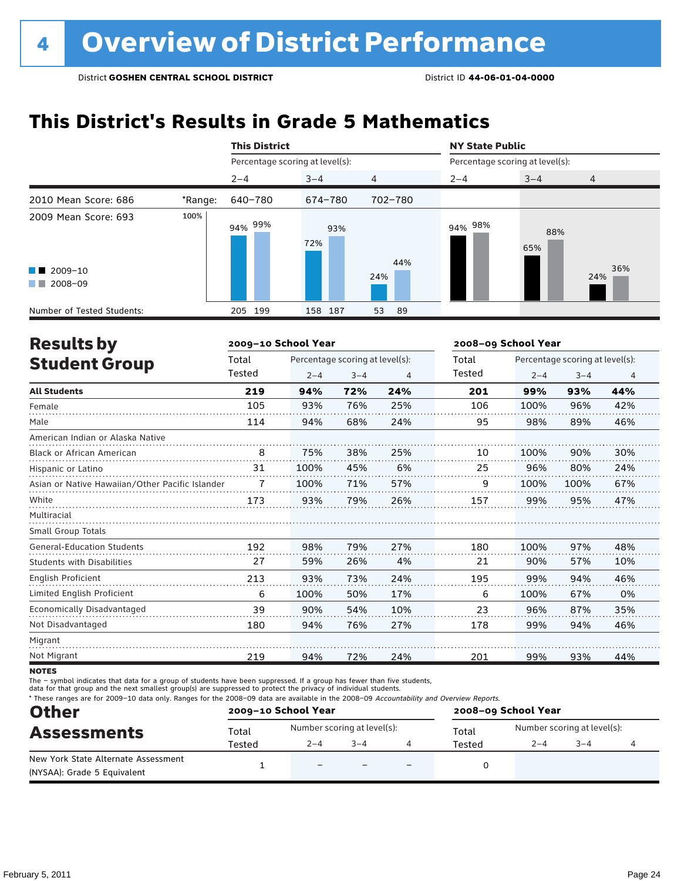## **This District's Results in Grade 5 Mathematics**

|                                                                                                                                                                                                                                                                                                   |         | <b>This District</b>            |            |                | <b>NY State Public</b>          |            |                |  |
|---------------------------------------------------------------------------------------------------------------------------------------------------------------------------------------------------------------------------------------------------------------------------------------------------|---------|---------------------------------|------------|----------------|---------------------------------|------------|----------------|--|
|                                                                                                                                                                                                                                                                                                   |         | Percentage scoring at level(s): |            |                | Percentage scoring at level(s): |            |                |  |
|                                                                                                                                                                                                                                                                                                   |         | $2 - 4$                         | $3 - 4$    | $\overline{4}$ | $2 - 4$                         | $3 - 4$    | $\overline{4}$ |  |
| 2010 Mean Score: 686                                                                                                                                                                                                                                                                              | *Range: | 640-780                         | 674-780    | 702-780        |                                 |            |                |  |
| 2009 Mean Score: 693<br>$\blacksquare$ 2009-10<br>2008-09<br><b>The Contract of the Contract of the Contract of the Contract of the Contract of the Contract of the Contract of the Contract of the Contract of the Contract of the Contract of the Contract of The Contract of The Contract </b> | 100%    | 94% <sup>99%</sup>              | 93%<br>72% | 44%<br>24%     | 94% 98%                         | 88%<br>65% | 36%<br>24%     |  |
| Number of Tested Students:                                                                                                                                                                                                                                                                        |         | 205 199                         | 158 187    | 53<br>- 89     |                                 |            |                |  |

| <b>Results by</b>                               |        | 2009-10 School Year |                                 |     | 2008-09 School Year |         |                                 |     |
|-------------------------------------------------|--------|---------------------|---------------------------------|-----|---------------------|---------|---------------------------------|-----|
| <b>Student Group</b>                            | Total  |                     | Percentage scoring at level(s): |     | Total               |         | Percentage scoring at level(s): |     |
|                                                 | Tested | $2 - 4$             | $3 - 4$                         | 4   | Tested              | $2 - 4$ | $3 - 4$                         | 4   |
| <b>All Students</b>                             | 219    | 94%                 | 72%                             | 24% | 201                 | 99%     | 93%                             | 44% |
| Female                                          | 105    | 93%                 | 76%                             | 25% | 106                 | 100%    | 96%                             | 42% |
| Male                                            | 114    | 94%                 | 68%                             | 24% | 95                  | 98%     | 89%                             | 46% |
| American Indian or Alaska Native                |        |                     |                                 |     |                     |         |                                 |     |
| Black or African American                       | 8      | 75%                 | 38%                             | 25% | 10                  | 100%    | 90%                             | 30% |
| Hispanic or Latino                              | 31     | 100%                | 45%                             | 6%  | 25                  | 96%     | 80%                             | 24% |
| Asian or Native Hawaiian/Other Pacific Islander | 7      | 100%                | 71%                             | 57% | 9                   | 100%    | 100%                            | 67% |
| White                                           | 173    | 93%                 | 79%                             | 26% | 157                 | 99%     | 95%                             | 47% |
| Multiracial                                     |        |                     |                                 |     |                     |         |                                 |     |
| Small Group Totals                              |        |                     |                                 |     |                     |         |                                 |     |
| <b>General-Education Students</b>               | 192    | 98%                 | 79%                             | 27% | 180                 | 100%    | 97%                             | 48% |
| <b>Students with Disabilities</b>               | 27     | 59%                 | 26%                             | 4%  | 21                  | 90%     | 57%                             | 10% |
| English Proficient                              | 213    | 93%                 | 73%                             | 24% | 195                 | 99%     | 94%                             | 46% |
| Limited English Proficient                      | 6      | 100%                | 50%                             | 17% | 6                   | 100%    | 67%                             | 0%  |
| Economically Disadvantaged                      | 39     | 90%                 | 54%                             | 10% | 23                  | 96%     | 87%                             | 35% |
| Not Disadvantaged                               | 180    | 94%                 | 76%                             | 27% | 178                 | 99%     | 94%                             | 46% |
| Migrant                                         |        |                     |                                 |     |                     |         |                                 |     |
| Not Migrant                                     | 219    | 94%                 | 72%                             | 24% | 201                 | 99%     | 93%                             | 44% |
|                                                 |        |                     |                                 |     |                     |         |                                 |     |

**NOTES** 

The – symbol indicates that data for a group of students have been suppressed. If a group has fewer than five students,

data for that group and the next smallest group(s) are suppressed to protect the privacy of individual students.

\* These ranges are for 2009–10 data only. Ranges for the 2008–09 data are available in the 2008–09 Accountability and Overview Reports.

| <b>Other</b><br><b>Assessments</b>  | 2009-10 School Year |                             |         |                          | 2008-09 School Year |                             |         |  |  |
|-------------------------------------|---------------------|-----------------------------|---------|--------------------------|---------------------|-----------------------------|---------|--|--|
|                                     | Total               | Number scoring at level(s): |         |                          | Total               | Number scoring at level(s): |         |  |  |
|                                     | Tested              | $2 - 4$                     | $3 - 4$ |                          | Tested              | $2 - 4$                     | $3 - 4$ |  |  |
| New York State Alternate Assessment |                     | $\overline{\phantom{0}}$    |         | $\overline{\phantom{0}}$ |                     |                             |         |  |  |
| (NYSAA): Grade 5 Equivalent         |                     |                             |         |                          |                     |                             |         |  |  |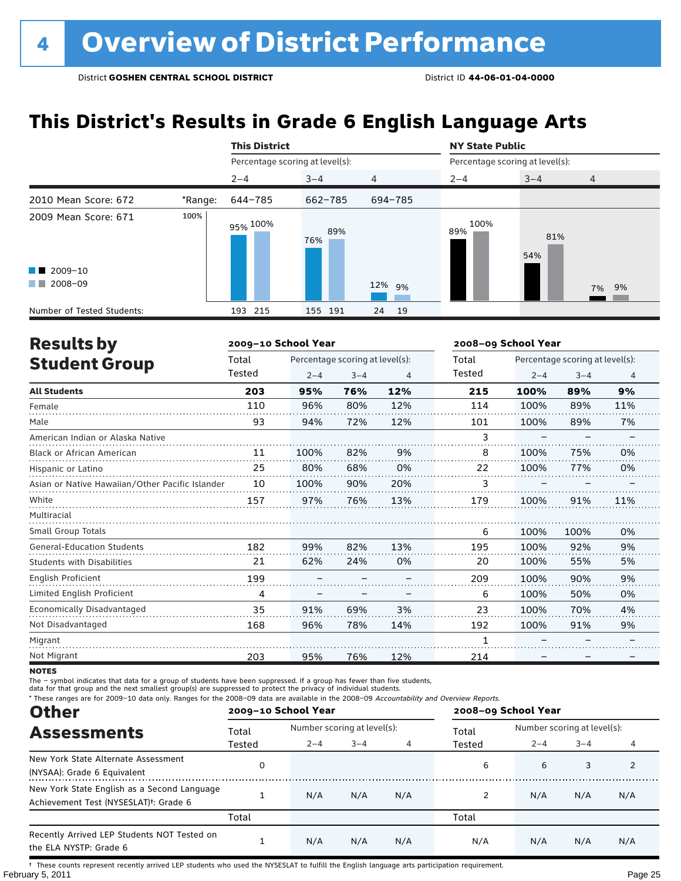## **This District's Results in Grade 6 English Language Arts**

|                            |         | <b>This District</b>            |            |                | <b>NY State Public</b>          |            |                |
|----------------------------|---------|---------------------------------|------------|----------------|---------------------------------|------------|----------------|
|                            |         | Percentage scoring at level(s): |            |                | Percentage scoring at level(s): |            |                |
|                            |         | $2 - 4$                         | $3 - 4$    | $\overline{4}$ | $2 - 4$                         | $3 - 4$    | $\overline{4}$ |
| 2010 Mean Score: 672       | *Range: | 644-785                         | 662-785    | 694-785        |                                 |            |                |
| 2009 Mean Score: 671       | 100%    | 95% <sup>100%</sup>             | 89%<br>76% |                | 100%<br>89%                     | 81%<br>54% |                |
| $\blacksquare$ 2009-10     |         |                                 |            |                |                                 |            |                |
| 2008-09<br>a kacamatan     |         |                                 |            | 12% 9%         |                                 |            | 7% 9%          |
| Number of Tested Students: |         | 215<br>193                      | 155 191    | 24<br>- 19     |                                 |            |                |

| <b>Results by</b>                               |        | 2009-10 School Year |                                 |     | 2008-09 School Year |         |                                 |                |
|-------------------------------------------------|--------|---------------------|---------------------------------|-----|---------------------|---------|---------------------------------|----------------|
| <b>Student Group</b>                            | Total  |                     | Percentage scoring at level(s): |     | Total               |         | Percentage scoring at level(s): |                |
|                                                 | Tested | $2 - 4$             | $3 - 4$                         | 4   | Tested              | $2 - 4$ | $3 - 4$                         | $\overline{4}$ |
| <b>All Students</b>                             | 203    | 95%                 | 76%                             | 12% | 215                 | 100%    | 89%                             | 9%             |
| Female                                          | 110    | 96%                 | 80%                             | 12% | 114                 | 100%    | 89%                             | 11%            |
| Male                                            | 93     | 94%                 | 72%                             | 12% | 101                 | 100%    | 89%                             | 7%             |
| American Indian or Alaska Native                |        |                     |                                 |     | 3                   |         |                                 |                |
| <b>Black or African American</b>                | 11     | 100%                | 82%                             | 9%  | 8                   | 100%    | 75%                             | 0%             |
| Hispanic or Latino                              | 25     | 80%                 | 68%                             | 0%  | 22                  | 100%    | 77%                             | 0%             |
| Asian or Native Hawaiian/Other Pacific Islander | 10     | 100%                | 90%                             | 20% | 3                   |         |                                 |                |
| White                                           | 157    | 97%                 | 76%                             | 13% | 179                 | 100%    | 91%                             | 11%            |
| Multiracial                                     |        |                     |                                 |     |                     |         |                                 |                |
| <b>Small Group Totals</b>                       |        |                     |                                 |     | 6                   | 100%    | 100%                            | 0%             |
| <b>General-Education Students</b>               | 182    | 99%                 | 82%                             | 13% | 195                 | 100%    | 92%                             | 9%             |
| <b>Students with Disabilities</b>               | 21     | 62%                 | 24%                             | 0%  | 20                  | 100%    | 55%                             | 5%             |
| English Proficient                              | 199    |                     |                                 |     | 209                 | 100%    | 90%                             | 9%             |
| Limited English Proficient                      | 4      |                     |                                 |     | 6                   | 100%    | 50%                             | 0%             |
| Economically Disadvantaged                      | 35     | 91%                 | 69%                             | 3%  | 23                  | 100%    | 70%                             | 4%             |
| Not Disadvantaged                               | 168    | 96%                 | 78%                             | 14% | 192                 | 100%    | 91%                             | 9%             |
| Migrant                                         |        |                     |                                 |     | 1                   |         |                                 |                |
| Not Migrant                                     | 203    | 95%                 | 76%                             | 12% | 214                 |         |                                 |                |

**NOTES** 

The – symbol indicates that data for a group of students have been suppressed. If a group has fewer than five students,

data for that group and the next smallest group(s) are suppressed to protect the privacy of individual students.

\* These ranges are for 2009–10 data only. Ranges for the 2008–09 data are available in the 2008–09 Accountability and Overview Reports.

| <b>Other</b>                                                                                      |        | 2009-10 School Year |                             |     | 2008-09 School Year |                             |         |     |
|---------------------------------------------------------------------------------------------------|--------|---------------------|-----------------------------|-----|---------------------|-----------------------------|---------|-----|
| <b>Assessments</b>                                                                                | Total  |                     | Number scoring at level(s): |     |                     | Number scoring at level(s): |         |     |
|                                                                                                   | Tested | $2 - 4$             | $3 - 4$                     | 4   | Tested              | $2 - 4$                     | $3 - 4$ | 4   |
| New York State Alternate Assessment<br>(NYSAA): Grade 6 Equivalent                                |        |                     |                             |     | 6                   | 6                           | 3       |     |
| New York State English as a Second Language<br>Achievement Test (NYSESLAT) <sup>t</sup> : Grade 6 |        | N/A                 | N/A                         | N/A | 2                   | N/A                         | N/A     | N/A |
|                                                                                                   | Total  |                     |                             |     | Total               |                             |         |     |
| Recently Arrived LEP Students NOT Tested on<br>the ELA NYSTP: Grade 6                             |        | N/A                 | N/A                         | N/A | N/A                 | N/A                         | N/A     | N/A |

February 5, 2011 Page 25 † These counts represent recently arrived LEP students who used the NYSESLAT to fulfill the English language arts participation requirement.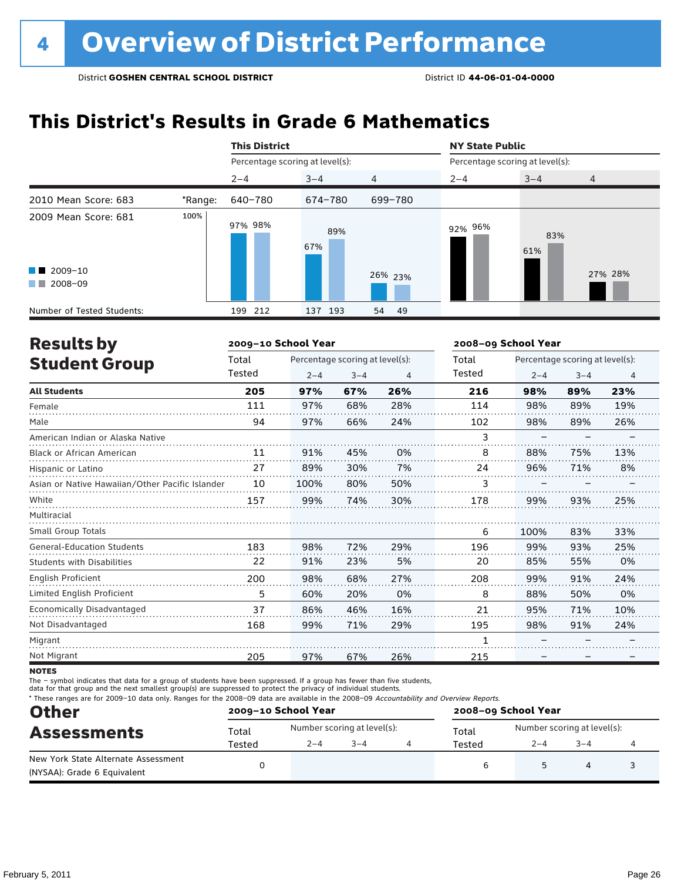## **This District's Results in Grade 6 Mathematics**

|                                                                                                                                                                                                                                                                           |         | <b>This District</b>            |            |                | <b>NY State Public</b>          |            |                |  |
|---------------------------------------------------------------------------------------------------------------------------------------------------------------------------------------------------------------------------------------------------------------------------|---------|---------------------------------|------------|----------------|---------------------------------|------------|----------------|--|
|                                                                                                                                                                                                                                                                           |         | Percentage scoring at level(s): |            |                | Percentage scoring at level(s): |            |                |  |
|                                                                                                                                                                                                                                                                           |         | $2 - 4$                         | $3 - 4$    | $\overline{4}$ | $2 - 4$                         | $3 - 4$    | $\overline{4}$ |  |
| 2010 Mean Score: 683                                                                                                                                                                                                                                                      | *Range: | 640-780                         | 674-780    | 699-780        |                                 |            |                |  |
| 2009 Mean Score: 681                                                                                                                                                                                                                                                      | 100%    | 97% 98%                         | 89%<br>67% |                | 92% 96%                         | 83%<br>61% |                |  |
| $\blacksquare$ 2009-10<br>2008-09<br><b>The Contract of the Contract of the Contract of the Contract of the Contract of the Contract of the Contract of the Contract of the Contract of the Contract of the Contract of the Contract of The Contract of The Contract </b> |         |                                 |            | 26% 23%        |                                 |            | 27% 28%        |  |
| Number of Tested Students:                                                                                                                                                                                                                                                |         | 212<br>199                      | 137 193    | - 49<br>54     |                                 |            |                |  |

| <b>Results by</b>                               |        | 2009-10 School Year |                                 |     | 2008-09 School Year |         |                                 |                |
|-------------------------------------------------|--------|---------------------|---------------------------------|-----|---------------------|---------|---------------------------------|----------------|
| <b>Student Group</b>                            | Total  |                     | Percentage scoring at level(s): |     | Total               |         | Percentage scoring at level(s): |                |
|                                                 | Tested | $2 - 4$             | $3 - 4$                         | 4   | Tested              | $2 - 4$ | $3 - 4$                         | $\overline{4}$ |
| <b>All Students</b>                             | 205    | 97%                 | 67%                             | 26% | 216                 | 98%     | 89%                             | 23%            |
| Female                                          | 111    | 97%                 | 68%                             | 28% | 114                 | 98%     | 89%                             | 19%            |
| Male                                            | 94     | 97%                 | 66%                             | 24% | 102                 | 98%     | 89%                             | 26%            |
| American Indian or Alaska Native                |        |                     |                                 |     | 3                   |         |                                 |                |
| <b>Black or African American</b>                | 11     | 91%                 | 45%                             | 0%  | 8                   | 88%     | 75%                             | 13%            |
| Hispanic or Latino                              | 27     | 89%                 | 30%                             | 7%  | 24                  | 96%     | 71%                             | 8%             |
| Asian or Native Hawaiian/Other Pacific Islander | 10     | 100%                | 80%                             | 50% | 3                   |         |                                 |                |
| White                                           | 157    | 99%                 | 74%                             | 30% | 178                 | 99%     | 93%                             | 25%            |
| Multiracial                                     |        |                     |                                 |     |                     |         |                                 |                |
| <b>Small Group Totals</b>                       |        |                     |                                 |     | 6                   | 100%    | 83%                             | 33%            |
| <b>General-Education Students</b>               | 183    | 98%                 | 72%                             | 29% | 196                 | 99%     | 93%                             | 25%            |
| Students with Disabilities                      | 22     | 91%                 | 23%                             | 5%  | 20                  | 85%     | 55%                             | 0%             |
| English Proficient                              | 200    | 98%                 | 68%                             | 27% | 208                 | 99%     | 91%                             | 24%            |
| Limited English Proficient                      | 5      | 60%                 | 20%                             | 0%  | 8                   | 88%     | 50%                             | 0%             |
| <b>Economically Disadvantaged</b>               | 37     | 86%                 | 46%                             | 16% | 21                  | 95%     | 71%                             | 10%            |
| Not Disadvantaged                               | 168    | 99%                 | 71%                             | 29% | 195                 | 98%     | 91%                             | 24%            |
| Migrant                                         |        |                     |                                 |     |                     |         |                                 |                |
| Not Migrant                                     | 205    | 97%                 | 67%                             | 26% | 215                 |         |                                 |                |

**NOTES** 

The – symbol indicates that data for a group of students have been suppressed. If a group has fewer than five students,

data for that group and the next smallest group(s) are suppressed to protect the privacy of individual students.

\* These ranges are for 2009–10 data only. Ranges for the 2008–09 data are available in the 2008–09 Accountability and Overview Reports.

| <b>Other</b>                                                       |        | 2009-10 School Year |                             | 2008-09 School Year |                             |         |  |  |
|--------------------------------------------------------------------|--------|---------------------|-----------------------------|---------------------|-----------------------------|---------|--|--|
| <b>Assessments</b>                                                 | Total  |                     | Number scoring at level(s): | Total               | Number scoring at level(s): |         |  |  |
|                                                                    | Tested | $2 - 4$             | $3 - 4$                     | Tested              | $2 - 4$                     | $3 - 4$ |  |  |
| New York State Alternate Assessment<br>(NYSAA): Grade 6 Equivalent |        |                     |                             |                     |                             |         |  |  |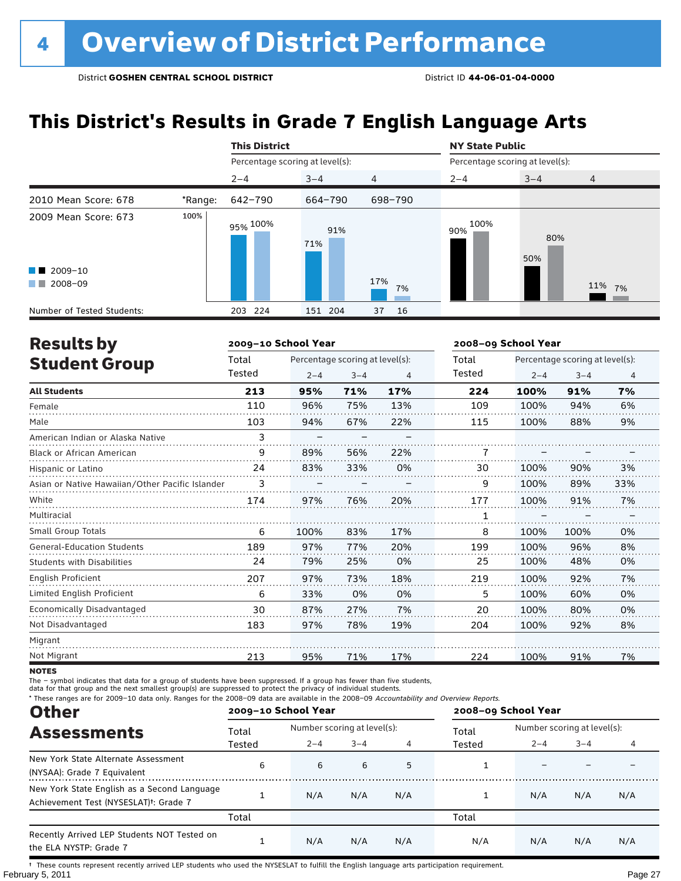## **This District's Results in Grade 7 English Language Arts**

|                            |         | <b>This District</b>            |            |                | <b>NY State Public</b>          |            |                |  |
|----------------------------|---------|---------------------------------|------------|----------------|---------------------------------|------------|----------------|--|
|                            |         | Percentage scoring at level(s): |            |                | Percentage scoring at level(s): |            |                |  |
|                            |         | $2 - 4$                         | $3 - 4$    | $\overline{4}$ | $2 - 4$                         | $3 - 4$    | $\overline{4}$ |  |
| 2010 Mean Score: 678       | *Range: | 642-790                         | 664-790    | 698-790        |                                 |            |                |  |
| 2009 Mean Score: 673       | 100%    | 95% <sup>100%</sup>             | 91%<br>71% |                | 100%<br>90%                     | 80%<br>50% |                |  |
| $\blacksquare$ 2009-10     |         |                                 |            |                |                                 |            |                |  |
| 2008-09<br>a kacamatan     |         |                                 |            | 17%<br>7%      |                                 |            | 11% 7%         |  |
| Number of Tested Students: |         | 203 224                         | 151 204    | 16<br>37       |                                 |            |                |  |

| <b>Results by</b>                               |        | 2009-10 School Year |                                 |     | 2008-09 School Year |         |                                 |     |
|-------------------------------------------------|--------|---------------------|---------------------------------|-----|---------------------|---------|---------------------------------|-----|
| <b>Student Group</b>                            | Total  |                     | Percentage scoring at level(s): |     | Total               |         | Percentage scoring at level(s): |     |
|                                                 | Tested | $2 - 4$             | $3 - 4$                         | 4   | Tested              | $2 - 4$ | $3 - 4$                         | 4   |
| <b>All Students</b>                             | 213    | 95%                 | 71%                             | 17% | 224                 | 100%    | 91%                             | 7%  |
| Female                                          | 110    | 96%                 | 75%                             | 13% | 109                 | 100%    | 94%                             | 6%  |
| Male                                            | 103    | 94%                 | 67%                             | 22% | 115                 | 100%    | 88%                             | 9%  |
| American Indian or Alaska Native                | 3      |                     |                                 |     |                     |         |                                 |     |
| <b>Black or African American</b>                | 9      | 89%                 | 56%                             | 22% | 7                   |         |                                 |     |
| Hispanic or Latino                              | 24     | 83%                 | 33%                             | 0%  | 30                  | 100%    | 90%                             | 3%  |
| Asian or Native Hawaiian/Other Pacific Islander | 3      |                     |                                 |     | 9                   | 100%    | 89%                             | 33% |
| White                                           | 174    | 97%                 | 76%                             | 20% | 177                 | 100%    | 91%                             | 7%  |
| Multiracial                                     |        |                     |                                 |     | 1                   |         |                                 |     |
| <b>Small Group Totals</b>                       | 6      | 100%                | 83%                             | 17% | 8                   | 100%    | 100%                            | 0%  |
| <b>General-Education Students</b>               | 189    | 97%                 | 77%                             | 20% | 199                 | 100%    | 96%                             | 8%  |
| <b>Students with Disabilities</b>               | 24     | 79%                 | 25%                             | 0%  | 25                  | 100%    | 48%                             | 0%  |
| <b>English Proficient</b>                       | 207    | 97%                 | 73%                             | 18% | 219                 | 100%    | 92%                             | 7%  |
| Limited English Proficient                      | 6      | 33%                 | 0%                              | 0%  | 5                   | 100%    | 60%                             | 0%  |
| Economically Disadvantaged                      | 30     | 87%                 | 27%                             | 7%  | 20                  | 100%    | 80%                             | 0%  |
| Not Disadvantaged                               | 183    | 97%                 | 78%                             | 19% | 204                 | 100%    | 92%                             | 8%  |
| Migrant                                         |        |                     |                                 |     |                     |         |                                 |     |
| Not Migrant                                     | 213    | 95%                 | 71%                             | 17% | 224                 | 100%    | 91%                             | 7%  |

**NOTES** 

The – symbol indicates that data for a group of students have been suppressed. If a group has fewer than five students,

data for that group and the next smallest group(s) are suppressed to protect the privacy of individual students.

\* These ranges are for 2009–10 data only. Ranges for the 2008–09 data are available in the 2008–09 Accountability and Overview Reports.

| <b>Other</b>                                                                                      |        | 2009-10 School Year |                             |     | 2008-09 School Year |                             |         |     |
|---------------------------------------------------------------------------------------------------|--------|---------------------|-----------------------------|-----|---------------------|-----------------------------|---------|-----|
| <b>Assessments</b>                                                                                | Total  |                     | Number scoring at level(s): |     |                     | Number scoring at level(s): |         |     |
|                                                                                                   | Tested | $2 - 4$             | $3 - 4$                     |     | Tested              | $2 - 4$                     | $3 - 4$ |     |
| New York State Alternate Assessment<br>(NYSAA): Grade 7 Equivalent                                | 6      | 6                   | 6                           | 5   |                     |                             |         |     |
| New York State English as a Second Language<br>Achievement Test (NYSESLAT) <sup>+</sup> : Grade 7 |        | N/A                 | N/A                         | N/A |                     | N/A                         | N/A     | N/A |
|                                                                                                   | Total  |                     |                             |     | Total               |                             |         |     |
| Recently Arrived LEP Students NOT Tested on<br>the ELA NYSTP: Grade 7                             |        | N/A                 | N/A                         | N/A | N/A                 | N/A                         | N/A     | N/A |

February 5, 2011 Page 27 † These counts represent recently arrived LEP students who used the NYSESLAT to fulfill the English language arts participation requirement.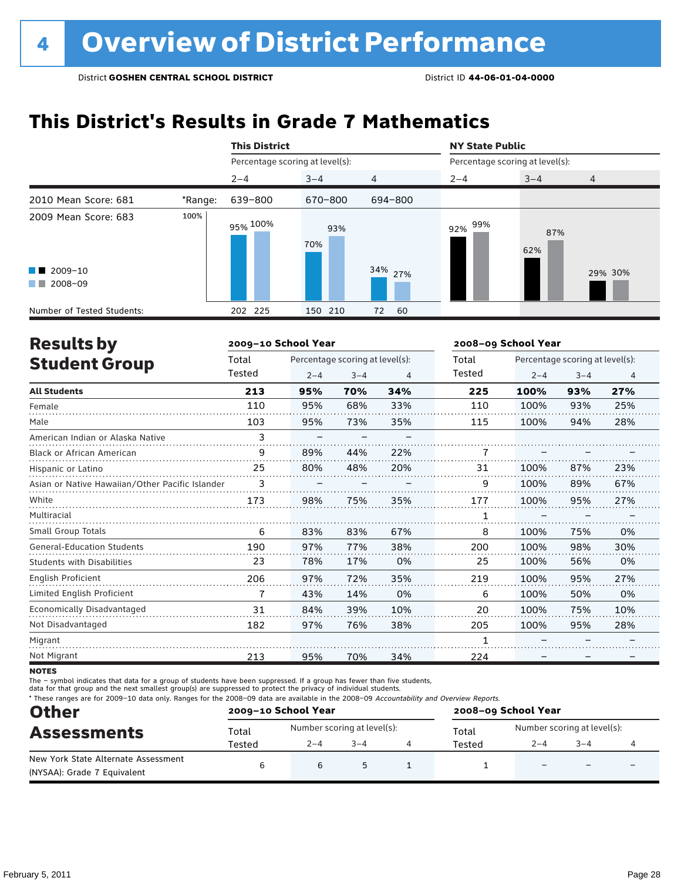## **This District's Results in Grade 7 Mathematics**

|                                                                                                                                                                                                                                                                           |         | <b>This District</b>            |            |                | <b>NY State Public</b><br>Percentage scoring at level(s): |            |                |  |
|---------------------------------------------------------------------------------------------------------------------------------------------------------------------------------------------------------------------------------------------------------------------------|---------|---------------------------------|------------|----------------|-----------------------------------------------------------|------------|----------------|--|
|                                                                                                                                                                                                                                                                           |         | Percentage scoring at level(s): |            |                |                                                           |            |                |  |
|                                                                                                                                                                                                                                                                           |         | $2 - 4$                         | $3 - 4$    | $\overline{4}$ | $2 - 4$                                                   | $3 - 4$    | $\overline{4}$ |  |
| 2010 Mean Score: 681                                                                                                                                                                                                                                                      | *Range: | 639-800                         | 670-800    | 694-800        |                                                           |            |                |  |
| 2009 Mean Score: 683                                                                                                                                                                                                                                                      | 100%    | 95% <sup>100%</sup>             | 93%<br>70% |                | 99%<br>92%                                                | 87%<br>62% |                |  |
| $\blacksquare$ 2009-10<br>2008-09<br><b>The Contract of the Contract of the Contract of the Contract of the Contract of the Contract of the Contract of the Contract of the Contract of the Contract of the Contract of the Contract of The Contract of The Contract </b> |         |                                 |            | 34% 27%        |                                                           |            | 29% 30%        |  |
| Number of Tested Students:                                                                                                                                                                                                                                                |         | 202 225                         | 150 210    | 60<br>72       |                                                           |            |                |  |

| <b>Results by</b>                               |        | 2009-10 School Year |                                 |     | 2008-09 School Year |         |                                 |                |
|-------------------------------------------------|--------|---------------------|---------------------------------|-----|---------------------|---------|---------------------------------|----------------|
| <b>Student Group</b>                            | Total  |                     | Percentage scoring at level(s): |     | Total               |         | Percentage scoring at level(s): |                |
|                                                 | Tested | $2 - 4$             | $3 - 4$                         | 4   | Tested              | $2 - 4$ | $3 - 4$                         | $\overline{4}$ |
| <b>All Students</b>                             | 213    | 95%                 | 70%                             | 34% | 225                 | 100%    | 93%                             | 27%            |
| Female                                          | 110    | 95%                 | 68%                             | 33% | 110                 | 100%    | 93%                             | 25%            |
| Male                                            | 103    | 95%                 | 73%                             | 35% | 115                 | 100%    | 94%                             | 28%            |
| American Indian or Alaska Native                | 3      |                     |                                 |     |                     |         |                                 |                |
| <b>Black or African American</b>                | 9      | 89%                 | 44%                             | 22% |                     |         |                                 |                |
| Hispanic or Latino                              | 25     | 80%                 | 48%                             | 20% | 31                  | 100%    | 87%                             | 23%            |
| Asian or Native Hawaiian/Other Pacific Islander | 3      |                     |                                 |     | 9                   | 100%    | 89%                             | 67%            |
| White                                           | 173    | 98%                 | 75%                             | 35% | 177                 | 100%    | 95%                             | 27%            |
| Multiracial                                     |        |                     |                                 |     |                     |         |                                 |                |
| Small Group Totals                              | 6      | 83%                 | 83%                             | 67% | 8                   | 100%    | 75%                             | 0%             |
| <b>General-Education Students</b>               | 190    | 97%                 | 77%                             | 38% | 200                 | 100%    | 98%                             | 30%            |
| <b>Students with Disabilities</b>               | 23     | 78%                 | 17%                             | 0%  | 25                  | 100%    | 56%                             | 0%             |
| English Proficient                              | 206    | 97%                 | 72%                             | 35% | 219                 | 100%    | 95%                             | 27%            |
| Limited English Proficient                      | 7      | 43%                 | 14%                             | 0%  | 6                   | 100%    | 50%                             | 0%             |
| <b>Economically Disadvantaged</b>               | 31     | 84%                 | 39%                             | 10% | 20                  | 100%    | 75%                             | 10%            |
| Not Disadvantaged                               | 182    | 97%                 | 76%                             | 38% | 205                 | 100%    | 95%                             | 28%            |
| Migrant                                         |        |                     |                                 |     |                     |         |                                 |                |
| Not Migrant                                     | 213    | 95%                 | 70%                             | 34% | 224                 |         |                                 |                |

**NOTES** 

The – symbol indicates that data for a group of students have been suppressed. If a group has fewer than five students,

data for that group and the next smallest group(s) are suppressed to protect the privacy of individual students.

\* These ranges are for 2009–10 data only. Ranges for the 2008–09 data are available in the 2008–09 Accountability and Overview Reports.

| <b>Other</b>                        | 2009-10 School Year |                             |         | 2008-09 School Year |                             |         |   |  |
|-------------------------------------|---------------------|-----------------------------|---------|---------------------|-----------------------------|---------|---|--|
| <b>Assessments</b>                  | Total               | Number scoring at level(s): |         | Total               | Number scoring at level(s): |         |   |  |
|                                     | Tested              | $2 - 4$                     | $3 - 4$ | Tested              | $2 - 4$                     | $3 - 4$ |   |  |
| New York State Alternate Assessment |                     |                             |         |                     |                             |         | - |  |
| (NYSAA): Grade 7 Equivalent         |                     | b                           |         |                     |                             |         |   |  |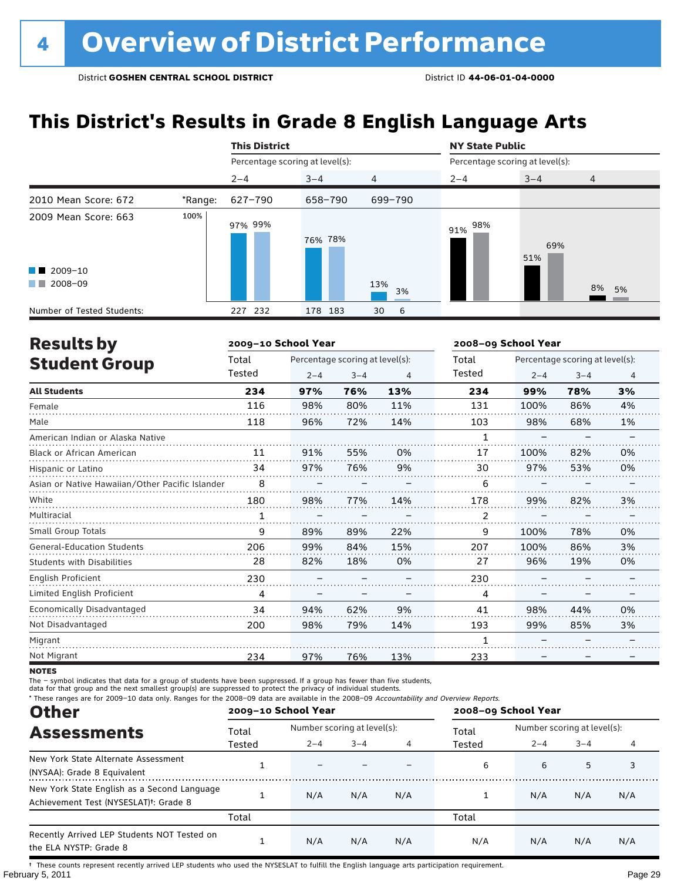## **This District's Results in Grade 8 English Language Arts**

|                                                                                                                                                                                                                                                 |         | <b>This District</b>            |         |                | <b>NY State Public</b>          |            |                |  |
|-------------------------------------------------------------------------------------------------------------------------------------------------------------------------------------------------------------------------------------------------|---------|---------------------------------|---------|----------------|---------------------------------|------------|----------------|--|
|                                                                                                                                                                                                                                                 |         | Percentage scoring at level(s): |         |                | Percentage scoring at level(s): |            |                |  |
|                                                                                                                                                                                                                                                 |         | $2 - 4$                         | $3 - 4$ | $\overline{4}$ | $2 - 4$                         | $3 - 4$    | $\overline{4}$ |  |
| 2010 Mean Score: 672                                                                                                                                                                                                                            | *Range: | 627-790                         | 658-790 | 699-790        |                                 |            |                |  |
| 2009 Mean Score: 663                                                                                                                                                                                                                            | 100%    | 97% 99%                         | 76% 78% |                | 98%<br>91%                      | 69%<br>51% |                |  |
| $\blacksquare$ 2009-10                                                                                                                                                                                                                          |         |                                 |         |                |                                 |            |                |  |
| 2008-09<br><b>The Contract of the Contract of the Contract of the Contract of the Contract of the Contract of the Contract of the Contract of the Contract of the Contract of the Contract of the Contract of The Contract of The Contract </b> |         |                                 |         | 13%<br>3%      |                                 |            | 8%<br>5%       |  |
| Number of Tested Students:                                                                                                                                                                                                                      |         | 232<br>227                      | 178 183 | 6<br>30        |                                 |            |                |  |

| <b>Results by</b>                               |              | 2009-10 School Year |                                 |     |        | 2008-09 School Year |                                 |                |  |
|-------------------------------------------------|--------------|---------------------|---------------------------------|-----|--------|---------------------|---------------------------------|----------------|--|
| <b>Student Group</b>                            | Total        |                     | Percentage scoring at level(s): |     | Total  |                     | Percentage scoring at level(s): |                |  |
|                                                 | Tested       | $2 - 4$             | $3 - 4$                         | 4   | Tested | $2 - 4$             | $3 - 4$                         | $\overline{4}$ |  |
| <b>All Students</b>                             | 234          | 97%                 | 76%                             | 13% | 234    | 99%                 | 78%                             | 3%             |  |
| Female                                          | 116          | 98%                 | 80%                             | 11% | 131    | 100%                | 86%                             | 4%             |  |
| Male                                            | 118          | 96%                 | 72%                             | 14% | 103    | 98%                 | 68%                             | 1%             |  |
| American Indian or Alaska Native                |              |                     |                                 |     | 1      |                     |                                 |                |  |
| <b>Black or African American</b>                | 11           | 91%                 | 55%                             | 0%  | 17     | 100%                | 82%                             | 0%             |  |
| Hispanic or Latino                              | 34           | 97%                 | 76%                             | 9%  | 30     | 97%                 | 53%                             | 0%             |  |
| Asian or Native Hawaiian/Other Pacific Islander | 8            |                     |                                 |     | 6      |                     |                                 |                |  |
| White                                           | 180          | 98%                 | 77%                             | 14% | 178    | 99%                 | 82%                             | 3%             |  |
| Multiracial                                     | $\mathbf{1}$ |                     |                                 |     | 2      |                     |                                 |                |  |
| Small Group Totals                              | 9            | 89%                 | 89%                             | 22% | 9      | 100%                | 78%                             | 0%             |  |
| <b>General-Education Students</b>               | 206          | 99%                 | 84%                             | 15% | 207    | 100%                | 86%                             | 3%             |  |
| <b>Students with Disabilities</b>               | 28           | 82%                 | 18%                             | 0%  | 27     | 96%                 | 19%                             | 0%             |  |
| English Proficient                              | 230          |                     |                                 |     | 230    |                     |                                 |                |  |
| Limited English Proficient                      | 4            |                     |                                 |     | 4      |                     |                                 |                |  |
| Economically Disadvantaged                      | 34           | 94%                 | 62%                             | 9%  | 41     | 98%                 | 44%                             | 0%             |  |
| Not Disadvantaged                               | 200          | 98%                 | 79%                             | 14% | 193    | 99%                 | 85%                             | 3%             |  |
| Migrant                                         |              |                     |                                 |     | 1      |                     |                                 |                |  |
| Not Migrant                                     | 234          | 97%                 | 76%                             | 13% | 233    |                     |                                 |                |  |

**NOTES** 

The – symbol indicates that data for a group of students have been suppressed. If a group has fewer than five students,

data for that group and the next smallest group(s) are suppressed to protect the privacy of individual students.

\* These ranges are for 2009–10 data only. Ranges for the 2008–09 data are available in the 2008–09 Accountability and Overview Reports.

| <b>Other</b>                                                                                      |        | 2009-10 School Year |                             |     | 2008-09 School Year |         |                             |     |  |
|---------------------------------------------------------------------------------------------------|--------|---------------------|-----------------------------|-----|---------------------|---------|-----------------------------|-----|--|
| <b>Assessments</b>                                                                                | Total  |                     | Number scoring at level(s): |     |                     |         | Number scoring at level(s): |     |  |
| New York State Alternate Assessment<br>(NYSAA): Grade 8 Equivalent                                | Tested | $2 - 4$             | $3 - 4$                     |     | Tested              | $2 - 4$ | $3 - 4$                     |     |  |
|                                                                                                   |        |                     |                             |     | 6                   | 6       | 5                           | 3   |  |
| New York State English as a Second Language<br>Achievement Test (NYSESLAT) <sup>+</sup> : Grade 8 |        | N/A                 | N/A                         | N/A |                     | N/A     | N/A                         | N/A |  |
|                                                                                                   | Total  |                     |                             |     | Total               |         |                             |     |  |
| Recently Arrived LEP Students NOT Tested on<br>the ELA NYSTP: Grade 8                             |        | N/A                 | N/A                         | N/A | N/A                 | N/A     | N/A                         | N/A |  |

February 5, 2011 Page 29 † These counts represent recently arrived LEP students who used the NYSESLAT to fulfill the English language arts participation requirement.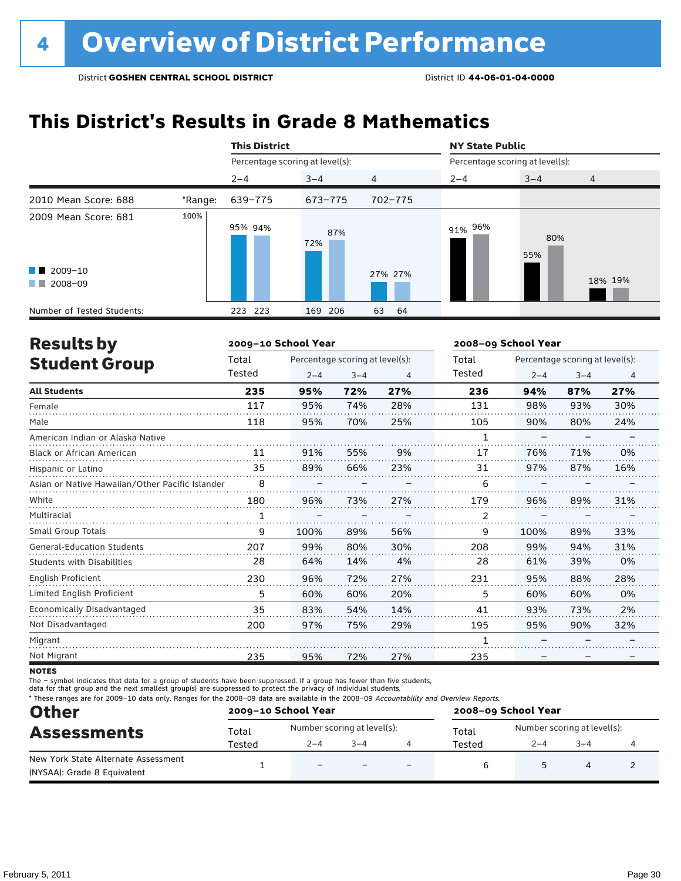## **This District's Results in Grade 8 Mathematics**

|                                                                                                                                                                                                                                                                           |         | <b>This District</b>            |            |                | <b>NY State Public</b><br>Percentage scoring at level(s): |            |                |  |
|---------------------------------------------------------------------------------------------------------------------------------------------------------------------------------------------------------------------------------------------------------------------------|---------|---------------------------------|------------|----------------|-----------------------------------------------------------|------------|----------------|--|
|                                                                                                                                                                                                                                                                           |         | Percentage scoring at level(s): |            |                |                                                           |            |                |  |
|                                                                                                                                                                                                                                                                           |         | $2 - 4$                         | $3 - 4$    | $\overline{4}$ | $2 - 4$                                                   | $3 - 4$    | $\overline{4}$ |  |
| 2010 Mean Score: 688                                                                                                                                                                                                                                                      | *Range: | 639-775                         | 673-775    | 702-775        |                                                           |            |                |  |
| 2009 Mean Score: 681                                                                                                                                                                                                                                                      | 100%    | 95% 94%                         | 87%<br>72% |                | 91% 96%                                                   | 80%<br>55% |                |  |
| $\blacksquare$ 2009-10<br>2008-09<br><b>The Contract of the Contract of the Contract of the Contract of the Contract of the Contract of the Contract of the Contract of the Contract of the Contract of the Contract of the Contract of The Contract of The Contract </b> |         |                                 |            | 27% 27%        |                                                           |            | 18% 19%        |  |
| Number of Tested Students:                                                                                                                                                                                                                                                |         | 223<br>223                      | 169<br>206 | 63<br>64       |                                                           |            |                |  |

| <b>Results by</b>                               |              | 2009-10 School Year |                                 |     | 2008-09 School Year |         |                                 |                |
|-------------------------------------------------|--------------|---------------------|---------------------------------|-----|---------------------|---------|---------------------------------|----------------|
| <b>Student Group</b>                            | Total        |                     | Percentage scoring at level(s): |     |                     |         | Percentage scoring at level(s): |                |
|                                                 | Tested       | $2 - 4$             | $3 - 4$                         | 4   | Tested              | $2 - 4$ | $3 - 4$                         | $\overline{4}$ |
| <b>All Students</b>                             | 235          | 95%                 | 72%                             | 27% | 236                 | 94%     | 87%                             | 27%            |
| Female                                          | 117          | 95%                 | 74%                             | 28% | 131                 | 98%     | 93%                             | 30%            |
| Male                                            | 118          | 95%                 | 70%                             | 25% | 105                 | 90%     | 80%                             | 24%            |
| American Indian or Alaska Native                |              |                     |                                 |     | 1                   |         |                                 |                |
| <b>Black or African American</b>                | 11           | 91%                 | 55%                             | 9%  | 17                  | 76%     | 71%                             | 0%             |
| Hispanic or Latino                              | 35           | 89%                 | 66%                             | 23% | 31                  | 97%     | 87%                             | 16%            |
| Asian or Native Hawaiian/Other Pacific Islander | 8            |                     |                                 |     | 6                   |         |                                 |                |
| White                                           | 180          | 96%                 | 73%                             | 27% | 179                 | 96%     | 89%                             | 31%            |
| Multiracial                                     | $\mathbf{1}$ |                     |                                 |     | $\overline{2}$      |         |                                 |                |
| Small Group Totals                              | 9            | 100%                | 89%                             | 56% | 9                   | 100%    | 89%                             | 33%            |
| <b>General-Education Students</b>               | 207          | 99%                 | 80%                             | 30% | 208                 | 99%     | 94%                             | 31%            |
| <b>Students with Disabilities</b>               | 28           | 64%                 | 14%                             | 4%  | 28                  | 61%     | 39%                             | 0%             |
| English Proficient                              | 230          | 96%                 | 72%                             | 27% | 231                 | 95%     | 88%                             | 28%            |
| Limited English Proficient                      | 5            | 60%                 | 60%                             | 20% | 5                   | 60%     | 60%                             | 0%             |
| Economically Disadvantaged                      | 35           | 83%                 | 54%                             | 14% | 41                  | 93%     | 73%                             | 2%             |
| Not Disadvantaged                               | 200          | 97%                 | 75%                             | 29% | 195                 | 95%     | 90%                             | 32%            |
| Migrant                                         |              |                     |                                 |     |                     |         |                                 |                |
| Not Migrant                                     | 235          | 95%                 | 72%                             | 27% | 235                 |         |                                 |                |

**NOTES** 

The – symbol indicates that data for a group of students have been suppressed. If a group has fewer than five students,

data for that group and the next smallest group(s) are suppressed to protect the privacy of individual students.

\* These ranges are for 2009–10 data only. Ranges for the 2008–09 data are available in the 2008–09 Accountability and Overview Reports.

| <b>Other</b>                                                       |        | 2009-10 School Year         |         |                          | 2008-09 School Year |                             |         |  |  |
|--------------------------------------------------------------------|--------|-----------------------------|---------|--------------------------|---------------------|-----------------------------|---------|--|--|
| <b>Assessments</b>                                                 | Total  | Number scoring at level(s): |         |                          | Total               | Number scoring at level(s): |         |  |  |
|                                                                    | Tested | $2 - 4$                     | $3 - 4$ |                          | Tested              | $2 - 4$                     | $3 - 4$ |  |  |
| New York State Alternate Assessment<br>(NYSAA): Grade 8 Equivalent |        | $\overline{\phantom{0}}$    |         | $\overline{\phantom{0}}$ | ь                   |                             |         |  |  |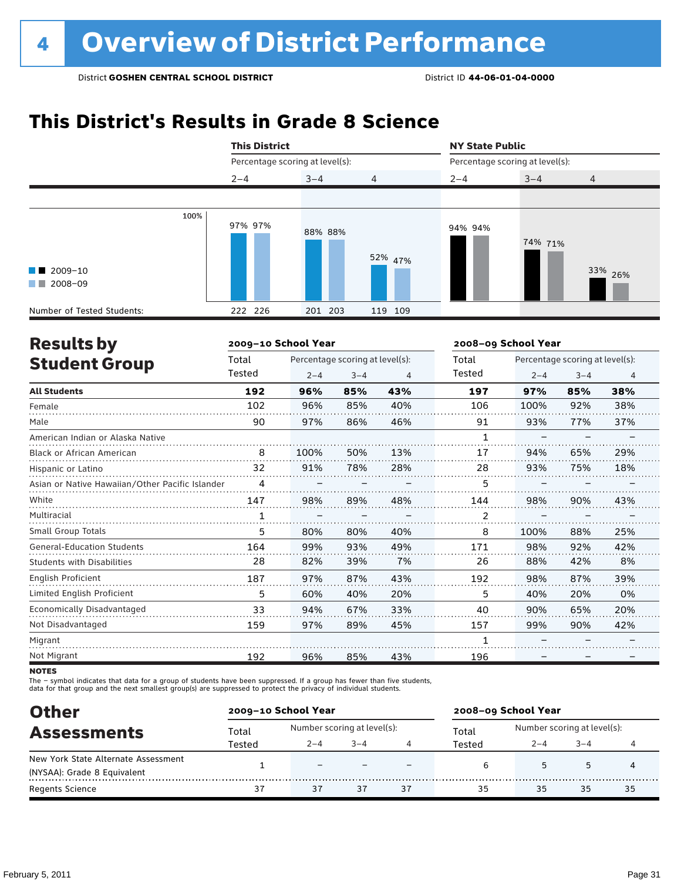## **This District's Results in Grade 8 Science**

|                                                  | <b>This District</b> |                                 |                | <b>NY State Public</b><br>Percentage scoring at level(s): |         |                |  |
|--------------------------------------------------|----------------------|---------------------------------|----------------|-----------------------------------------------------------|---------|----------------|--|
|                                                  |                      | Percentage scoring at level(s): |                |                                                           |         |                |  |
|                                                  | $2 - 4$              | $3 - 4$                         | $\overline{4}$ | $2 - 4$                                                   | $3 - 4$ | $\overline{4}$ |  |
|                                                  |                      |                                 |                |                                                           |         |                |  |
| $\blacksquare$ 2009-10<br>$\blacksquare$ 2008-09 | 100%<br>97% 97%      | 88% 88%                         | 52% 47%        | 94% 94%                                                   | 74% 71% | 33% 26%        |  |
| Number of Tested Students:                       | 222 226              | 201 203                         | 119 109        |                                                           |         |                |  |

| <b>Results by</b>                               |        | 2009-10 School Year |                                 |     | 2008-09 School Year |                                 |         |                |  |
|-------------------------------------------------|--------|---------------------|---------------------------------|-----|---------------------|---------------------------------|---------|----------------|--|
| <b>Student Group</b>                            | Total  |                     | Percentage scoring at level(s): |     | Total               | Percentage scoring at level(s): |         |                |  |
|                                                 | Tested | $2 - 4$             | $3 - 4$                         | 4   | Tested              | $2 - 4$                         | $3 - 4$ | $\overline{4}$ |  |
| <b>All Students</b>                             | 192    | 96%                 | 85%                             | 43% | 197                 | 97%                             | 85%     | 38%            |  |
| Female                                          | 102    | 96%                 | 85%                             | 40% | 106                 | 100%                            | 92%     | 38%            |  |
| Male                                            | 90     | 97%                 | 86%                             | 46% | 91                  | 93%                             | 77%     | 37%            |  |
| American Indian or Alaska Native                |        |                     |                                 |     | 1                   |                                 |         |                |  |
| <b>Black or African American</b>                | 8      | 100%                | 50%                             | 13% | 17                  | 94%                             | 65%     | 29%            |  |
| Hispanic or Latino                              | 32     | 91%                 | 78%                             | 28% | 28                  | 93%                             | 75%     | 18%            |  |
| Asian or Native Hawaiian/Other Pacific Islander | 4      |                     |                                 |     | 5                   |                                 |         |                |  |
| White                                           | 147    | 98%                 | 89%                             | 48% | 144                 | 98%                             | 90%     | 43%            |  |
| Multiracial                                     | 1      |                     |                                 |     | 2                   |                                 |         |                |  |
| Small Group Totals                              | 5      | 80%                 | 80%                             | 40% | 8                   | 100%                            | 88%     | 25%            |  |
| <b>General-Education Students</b>               | 164    | 99%                 | 93%                             | 49% | 171                 | 98%                             | 92%     | 42%            |  |
| Students with Disabilities                      | 28     | 82%                 | 39%                             | 7%  | 26                  | 88%                             | 42%     | 8%             |  |
| <b>English Proficient</b>                       | 187    | 97%                 | 87%                             | 43% | 192                 | 98%                             | 87%     | 39%            |  |
| Limited English Proficient                      | 5      | 60%                 | 40%                             | 20% | 5                   | 40%                             | 20%     | 0%             |  |
| Economically Disadvantaged                      | 33     | 94%                 | 67%                             | 33% | 40                  | 90%                             | 65%     | 20%            |  |
| Not Disadvantaged                               | 159    | 97%                 | 89%                             | 45% | 157                 | 99%                             | 90%     | 42%            |  |
| Migrant                                         |        |                     |                                 |     |                     |                                 |         |                |  |
| Not Migrant                                     | 192    | 96%                 | 85%                             | 43% | 196                 |                                 |         |                |  |

**NOTES** 

The – symbol indicates that data for a group of students have been suppressed. If a group has fewer than five students,<br>data for that group and the next smallest group(s) are suppressed to protect the privacy of individual

| <b>Other</b>                        |        | 2009-10 School Year         |         |    | 2008-09 School Year |                             |        |    |
|-------------------------------------|--------|-----------------------------|---------|----|---------------------|-----------------------------|--------|----|
| <b>Assessments</b>                  | Total  | Number scoring at level(s): |         |    | Total               | Number scoring at level(s): |        |    |
|                                     | Tested | $2 - 4$                     | $3 - 4$ |    | Tested              | $2 - 4$                     | $-3-4$ |    |
| New York State Alternate Assessment |        | -                           |         |    |                     |                             | 5      |    |
| (NYSAA): Grade 8 Equivalent         |        |                             |         |    | ь                   |                             |        |    |
| <b>Regents Science</b>              | 37     | 37                          | 37      | 37 | 35                  | 35                          | 35     | 35 |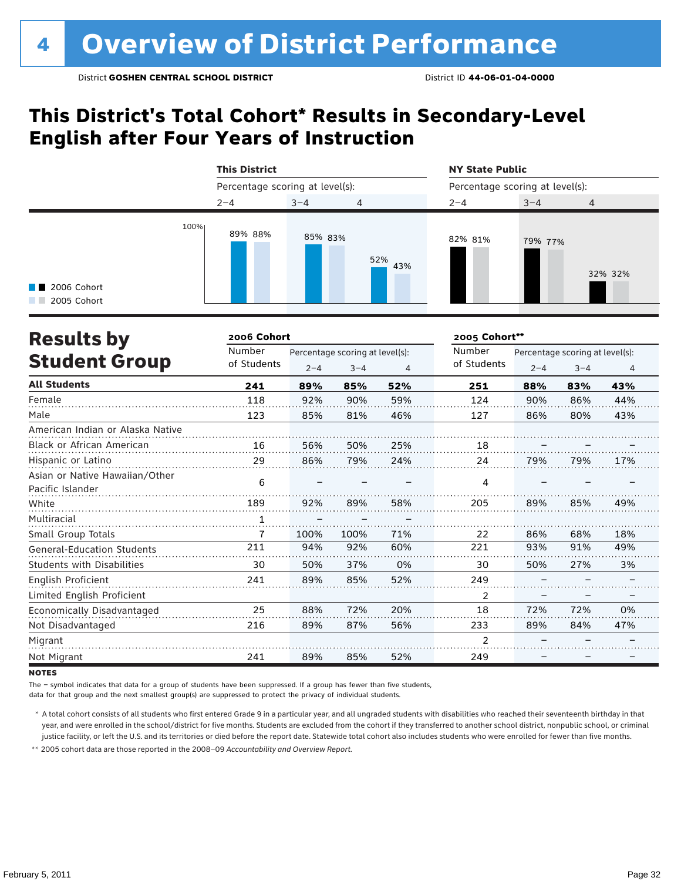## **This District's Total Cohort\* Results in Secondary-Level English after Four Years of Instruction**

|                                             | <b>This District</b>            |         |                | <b>NY State Public</b> |                                 |                |  |  |
|---------------------------------------------|---------------------------------|---------|----------------|------------------------|---------------------------------|----------------|--|--|
|                                             | Percentage scoring at level(s): |         |                |                        | Percentage scoring at level(s): |                |  |  |
|                                             | $2 - 4$                         | $3 - 4$ | $\overline{4}$ | $2 - 4$                | $3 - 4$                         | $\overline{4}$ |  |  |
| 100%<br><b>1</b> 2006 Cohort<br>2005 Cohort | 89% 88%                         | 85% 83% | 52%<br>43%     | 82% 81%                | 79% 77%                         | 32% 32%        |  |  |

| <b>Results by</b>                 | 2006 Cohort |                                 |         |     | 2005 Cohort**  |         |                                 |     |  |
|-----------------------------------|-------------|---------------------------------|---------|-----|----------------|---------|---------------------------------|-----|--|
|                                   | Number      | Percentage scoring at level(s): |         |     | Number         |         | Percentage scoring at level(s): |     |  |
| <b>Student Group</b>              | of Students | $2 - 4$                         | $3 - 4$ | 4   | of Students    | $2 - 4$ | $3 - 4$                         | 4   |  |
| <b>All Students</b>               | 241         | 89%                             | 85%     | 52% | 251            | 88%     | 83%                             | 43% |  |
| Female                            | 118         | 92%                             | 90%     | 59% | 124            | 90%     | 86%                             | 44% |  |
| Male                              | 123         | 85%                             | 81%     | 46% | 127            | 86%     | 80%                             | 43% |  |
| American Indian or Alaska Native  |             |                                 |         |     |                |         |                                 |     |  |
| Black or African American         | 16          | 56%                             | 50%     | 25% | 18             |         |                                 |     |  |
| Hispanic or Latino                | 29          | 86%                             | 79%     | 24% | 24             | 79%     | 79%                             | 17% |  |
| Asian or Native Hawaiian/Other    | 6           |                                 |         |     | 4              |         |                                 |     |  |
| Pacific Islander                  |             |                                 |         |     |                |         |                                 |     |  |
| White                             | 189         | 92%                             | 89%     | 58% | 205            | 89%     | 85%                             | 49% |  |
| Multiracial                       |             |                                 |         |     |                |         |                                 |     |  |
| Small Group Totals                | 7           | 100%                            | 100%    | 71% | 22             | 86%     | 68%                             | 18% |  |
| <b>General-Education Students</b> | 211         | 94%                             | 92%     | 60% | 221            | 93%     | 91%                             | 49% |  |
| <b>Students with Disabilities</b> | 30          | 50%                             | 37%     | 0%  | 30             | 50%     | 27%                             | 3%  |  |
| English Proficient                | 241         | 89%                             | 85%     | 52% | 249            |         |                                 |     |  |
| Limited English Proficient        |             |                                 |         |     | 2              |         |                                 |     |  |
| Economically Disadvantaged        | 25          | 88%                             | 72%     | 20% | 18             | 72%     | 72%                             | 0%  |  |
| Not Disadvantaged                 | 216         | 89%                             | 87%     | 56% | 233            | 89%     | 84%                             | 47% |  |
| Migrant                           |             |                                 |         |     | $\mathfrak{p}$ |         |                                 |     |  |
| Not Migrant                       | 241         | 89%                             | 85%     | 52% | 249            |         |                                 |     |  |

**NOTES** 

The – symbol indicates that data for a group of students have been suppressed. If a group has fewer than five students,

data for that group and the next smallest group(s) are suppressed to protect the privacy of individual students.

 \* A total cohort consists of all students who first entered Grade 9 in a particular year, and all ungraded students with disabilities who reached their seventeenth birthday in that year, and were enrolled in the school/district for five months. Students are excluded from the cohort if they transferred to another school district, nonpublic school, or criminal justice facility, or left the U.S. and its territories or died before the report date. Statewide total cohort also includes students who were enrolled for fewer than five months.

 \*\* 2005 cohort data are those reported in the 2008–09 *Accountability and Overview Report*.